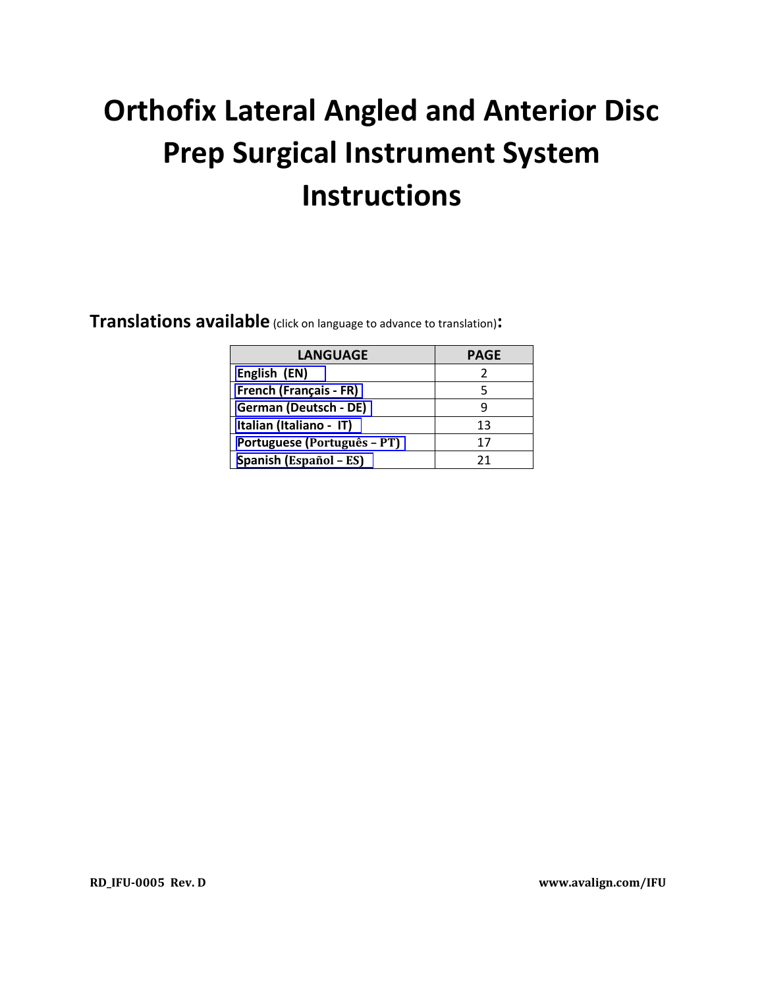# **Orthofix Lateral Angled and Anterior Disc Prep Surgical Instrument System Instructions**

**Translations available** (click on language to advance to translation)**:**

| <b>LANGUAGE</b>               | <b>PAGE</b> |
|-------------------------------|-------------|
| English (EN)                  |             |
| <b>French (Français - FR)</b> |             |
| German (Deutsch - DE)         |             |
| Italian (Italiano - IT)       | 13          |
| Portuguese (Português - PT)   | 17          |
| Spanish (Español - ES)        | 21          |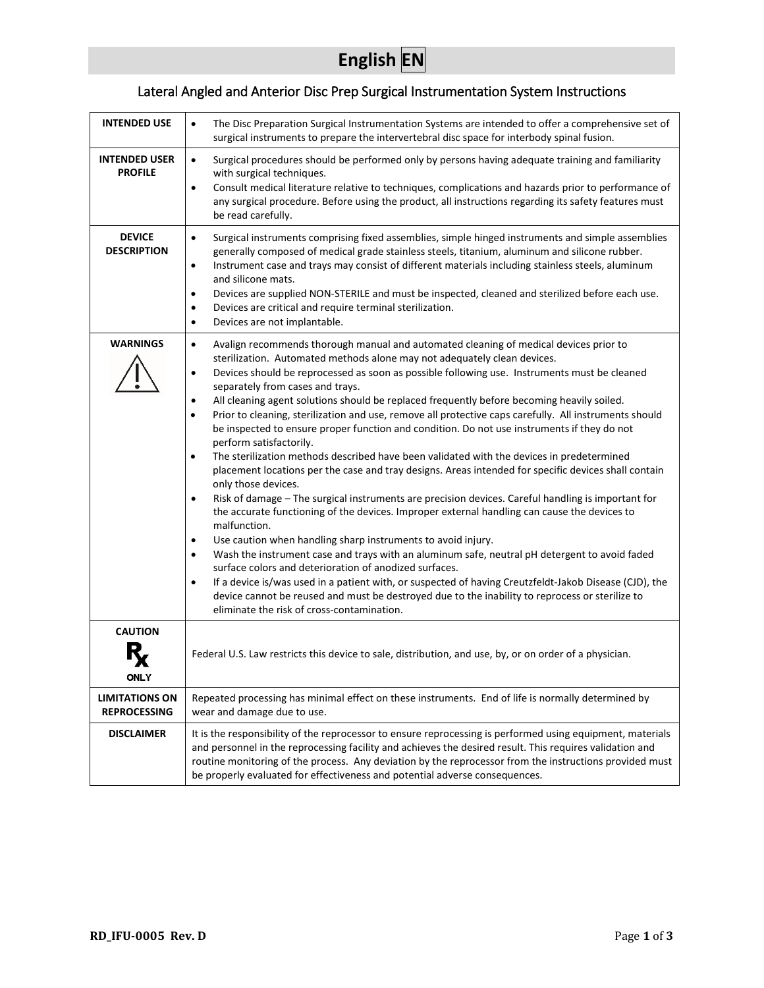## **English EN**

## Lateral Angled and Anterior Disc Prep Surgical Instrumentation System Instructions

<span id="page-1-0"></span>

| <b>INTENDED USE</b>                          | The Disc Preparation Surgical Instrumentation Systems are intended to offer a comprehensive set of<br>$\bullet$<br>surgical instruments to prepare the intervertebral disc space for interbody spinal fusion.                                                                                                                                                                                                                                                                                                                                                                                                                                                                                                                                                                                                                                                                                                                                                                                                                                                                                                                                                                                                                                                                                                                                                                                                                                                                                                                                                                                                                                                                |
|----------------------------------------------|------------------------------------------------------------------------------------------------------------------------------------------------------------------------------------------------------------------------------------------------------------------------------------------------------------------------------------------------------------------------------------------------------------------------------------------------------------------------------------------------------------------------------------------------------------------------------------------------------------------------------------------------------------------------------------------------------------------------------------------------------------------------------------------------------------------------------------------------------------------------------------------------------------------------------------------------------------------------------------------------------------------------------------------------------------------------------------------------------------------------------------------------------------------------------------------------------------------------------------------------------------------------------------------------------------------------------------------------------------------------------------------------------------------------------------------------------------------------------------------------------------------------------------------------------------------------------------------------------------------------------------------------------------------------------|
| <b>INTENDED USER</b><br><b>PROFILE</b>       | Surgical procedures should be performed only by persons having adequate training and familiarity<br>$\bullet$<br>with surgical techniques.<br>Consult medical literature relative to techniques, complications and hazards prior to performance of<br>$\bullet$<br>any surgical procedure. Before using the product, all instructions regarding its safety features must<br>be read carefully.                                                                                                                                                                                                                                                                                                                                                                                                                                                                                                                                                                                                                                                                                                                                                                                                                                                                                                                                                                                                                                                                                                                                                                                                                                                                               |
| <b>DEVICE</b><br><b>DESCRIPTION</b>          | Surgical instruments comprising fixed assemblies, simple hinged instruments and simple assemblies<br>$\bullet$<br>generally composed of medical grade stainless steels, titanium, aluminum and silicone rubber.<br>Instrument case and trays may consist of different materials including stainless steels, aluminum<br>$\bullet$<br>and silicone mats.<br>Devices are supplied NON-STERILE and must be inspected, cleaned and sterilized before each use.<br>٠<br>Devices are critical and require terminal sterilization.<br>$\bullet$<br>Devices are not implantable.<br>٠                                                                                                                                                                                                                                                                                                                                                                                                                                                                                                                                                                                                                                                                                                                                                                                                                                                                                                                                                                                                                                                                                                |
| <b>WARNINGS</b>                              | Avalign recommends thorough manual and automated cleaning of medical devices prior to<br>$\bullet$<br>sterilization. Automated methods alone may not adequately clean devices.<br>Devices should be reprocessed as soon as possible following use. Instruments must be cleaned<br>$\bullet$<br>separately from cases and trays.<br>All cleaning agent solutions should be replaced frequently before becoming heavily soiled.<br>٠<br>Prior to cleaning, sterilization and use, remove all protective caps carefully. All instruments should<br>$\bullet$<br>be inspected to ensure proper function and condition. Do not use instruments if they do not<br>perform satisfactorily.<br>The sterilization methods described have been validated with the devices in predetermined<br>$\bullet$<br>placement locations per the case and tray designs. Areas intended for specific devices shall contain<br>only those devices.<br>Risk of damage - The surgical instruments are precision devices. Careful handling is important for<br>$\bullet$<br>the accurate functioning of the devices. Improper external handling can cause the devices to<br>malfunction.<br>Use caution when handling sharp instruments to avoid injury.<br>٠<br>Wash the instrument case and trays with an aluminum safe, neutral pH detergent to avoid faded<br>٠<br>surface colors and deterioration of anodized surfaces.<br>If a device is/was used in a patient with, or suspected of having Creutzfeldt-Jakob Disease (CJD), the<br>$\bullet$<br>device cannot be reused and must be destroyed due to the inability to reprocess or sterilize to<br>eliminate the risk of cross-contamination. |
| <b>CAUTION</b><br><b>ONLY</b>                | Federal U.S. Law restricts this device to sale, distribution, and use, by, or on order of a physician.                                                                                                                                                                                                                                                                                                                                                                                                                                                                                                                                                                                                                                                                                                                                                                                                                                                                                                                                                                                                                                                                                                                                                                                                                                                                                                                                                                                                                                                                                                                                                                       |
| <b>LIMITATIONS ON</b><br><b>REPROCESSING</b> | Repeated processing has minimal effect on these instruments. End of life is normally determined by<br>wear and damage due to use.                                                                                                                                                                                                                                                                                                                                                                                                                                                                                                                                                                                                                                                                                                                                                                                                                                                                                                                                                                                                                                                                                                                                                                                                                                                                                                                                                                                                                                                                                                                                            |
| <b>DISCLAIMER</b>                            | It is the responsibility of the reprocessor to ensure reprocessing is performed using equipment, materials<br>and personnel in the reprocessing facility and achieves the desired result. This requires validation and<br>routine monitoring of the process. Any deviation by the reprocessor from the instructions provided must<br>be properly evaluated for effectiveness and potential adverse consequences.                                                                                                                                                                                                                                                                                                                                                                                                                                                                                                                                                                                                                                                                                                                                                                                                                                                                                                                                                                                                                                                                                                                                                                                                                                                             |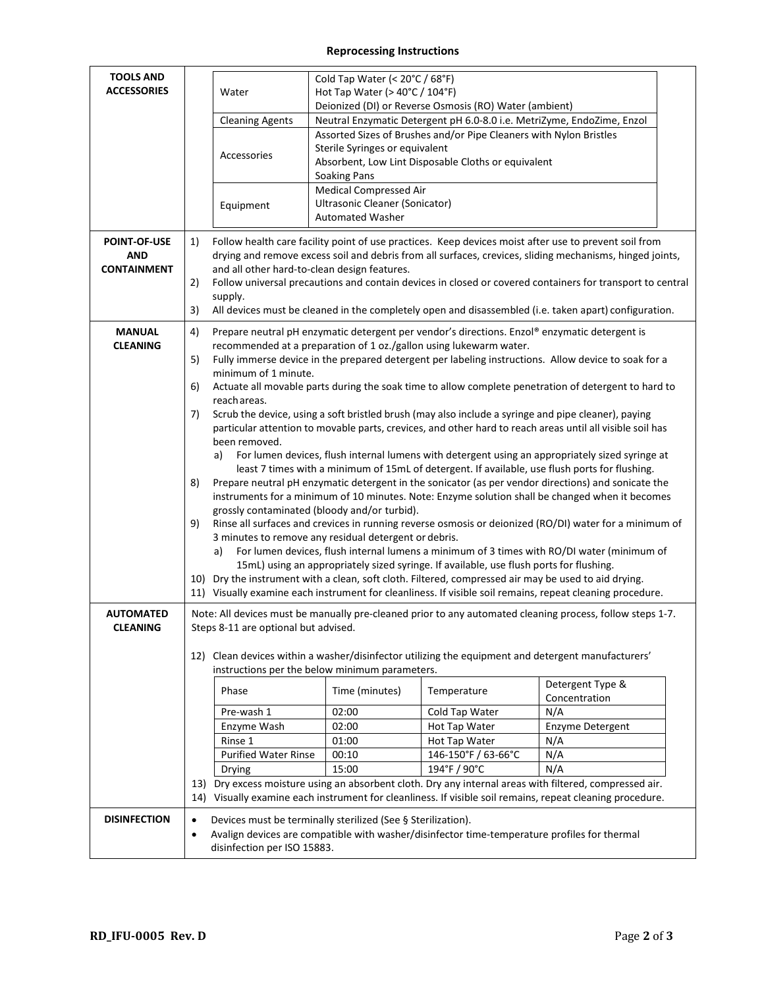## **Reprocessing Instructions**

| <b>TOOLS AND</b><br><b>ACCESSORIES</b>                  | Water                                                                                                                                             | Cold Tap Water (< 20°C / 68°F)<br>Hot Tap Water (> 40°C / 104°F)                                                                                                                                                                                                                                                                                                                                                                                                                        |                                                                                                                                                                                                 |                                                                                                           |  |  |  |
|---------------------------------------------------------|---------------------------------------------------------------------------------------------------------------------------------------------------|-----------------------------------------------------------------------------------------------------------------------------------------------------------------------------------------------------------------------------------------------------------------------------------------------------------------------------------------------------------------------------------------------------------------------------------------------------------------------------------------|-------------------------------------------------------------------------------------------------------------------------------------------------------------------------------------------------|-----------------------------------------------------------------------------------------------------------|--|--|--|
|                                                         |                                                                                                                                                   |                                                                                                                                                                                                                                                                                                                                                                                                                                                                                         | Deionized (DI) or Reverse Osmosis (RO) Water (ambient)                                                                                                                                          |                                                                                                           |  |  |  |
|                                                         | <b>Cleaning Agents</b>                                                                                                                            |                                                                                                                                                                                                                                                                                                                                                                                                                                                                                         | Neutral Enzymatic Detergent pH 6.0-8.0 i.e. MetriZyme, EndoZime, Enzol                                                                                                                          |                                                                                                           |  |  |  |
|                                                         |                                                                                                                                                   |                                                                                                                                                                                                                                                                                                                                                                                                                                                                                         | Assorted Sizes of Brushes and/or Pipe Cleaners with Nylon Bristles                                                                                                                              |                                                                                                           |  |  |  |
|                                                         | Accessories                                                                                                                                       | Sterile Syringes or equivalent                                                                                                                                                                                                                                                                                                                                                                                                                                                          |                                                                                                                                                                                                 |                                                                                                           |  |  |  |
|                                                         |                                                                                                                                                   |                                                                                                                                                                                                                                                                                                                                                                                                                                                                                         | Absorbent, Low Lint Disposable Cloths or equivalent                                                                                                                                             |                                                                                                           |  |  |  |
|                                                         |                                                                                                                                                   | <b>Soaking Pans</b>                                                                                                                                                                                                                                                                                                                                                                                                                                                                     |                                                                                                                                                                                                 |                                                                                                           |  |  |  |
|                                                         |                                                                                                                                                   | <b>Medical Compressed Air</b><br>Ultrasonic Cleaner (Sonicator)                                                                                                                                                                                                                                                                                                                                                                                                                         |                                                                                                                                                                                                 |                                                                                                           |  |  |  |
|                                                         | Equipment                                                                                                                                         | <b>Automated Washer</b>                                                                                                                                                                                                                                                                                                                                                                                                                                                                 |                                                                                                                                                                                                 |                                                                                                           |  |  |  |
| <b>POINT-OF-USE</b><br><b>AND</b><br><b>CONTAINMENT</b> | 1)<br>2)<br>supply.<br>3)                                                                                                                         | Follow health care facility point of use practices. Keep devices moist after use to prevent soil from<br>drying and remove excess soil and debris from all surfaces, crevices, sliding mechanisms, hinged joints,<br>and all other hard-to-clean design features.<br>Follow universal precautions and contain devices in closed or covered containers for transport to central<br>All devices must be cleaned in the completely open and disassembled (i.e. taken apart) configuration. |                                                                                                                                                                                                 |                                                                                                           |  |  |  |
| <b>MANUAL</b>                                           | 4)                                                                                                                                                |                                                                                                                                                                                                                                                                                                                                                                                                                                                                                         | Prepare neutral pH enzymatic detergent per vendor's directions. Enzol® enzymatic detergent is                                                                                                   |                                                                                                           |  |  |  |
| <b>CLEANING</b>                                         |                                                                                                                                                   |                                                                                                                                                                                                                                                                                                                                                                                                                                                                                         | recommended at a preparation of 1 oz./gallon using lukewarm water.                                                                                                                              |                                                                                                           |  |  |  |
|                                                         | 5)                                                                                                                                                |                                                                                                                                                                                                                                                                                                                                                                                                                                                                                         |                                                                                                                                                                                                 | Fully immerse device in the prepared detergent per labeling instructions. Allow device to soak for a      |  |  |  |
|                                                         | minimum of 1 minute.                                                                                                                              |                                                                                                                                                                                                                                                                                                                                                                                                                                                                                         |                                                                                                                                                                                                 |                                                                                                           |  |  |  |
|                                                         | 6)<br>reach areas.                                                                                                                                |                                                                                                                                                                                                                                                                                                                                                                                                                                                                                         |                                                                                                                                                                                                 | Actuate all movable parts during the soak time to allow complete penetration of detergent to hard to      |  |  |  |
|                                                         | 7)                                                                                                                                                |                                                                                                                                                                                                                                                                                                                                                                                                                                                                                         |                                                                                                                                                                                                 | Scrub the device, using a soft bristled brush (may also include a syringe and pipe cleaner), paying       |  |  |  |
|                                                         |                                                                                                                                                   |                                                                                                                                                                                                                                                                                                                                                                                                                                                                                         |                                                                                                                                                                                                 | particular attention to movable parts, crevices, and other hard to reach areas until all visible soil has |  |  |  |
|                                                         | been removed.                                                                                                                                     |                                                                                                                                                                                                                                                                                                                                                                                                                                                                                         |                                                                                                                                                                                                 |                                                                                                           |  |  |  |
|                                                         | a)                                                                                                                                                |                                                                                                                                                                                                                                                                                                                                                                                                                                                                                         |                                                                                                                                                                                                 | For lumen devices, flush internal lumens with detergent using an appropriately sized syringe at           |  |  |  |
|                                                         |                                                                                                                                                   | least 7 times with a minimum of 15mL of detergent. If available, use flush ports for flushing.                                                                                                                                                                                                                                                                                                                                                                                          |                                                                                                                                                                                                 |                                                                                                           |  |  |  |
|                                                         | 8)                                                                                                                                                | Prepare neutral pH enzymatic detergent in the sonicator (as per vendor directions) and sonicate the<br>instruments for a minimum of 10 minutes. Note: Enzyme solution shall be changed when it becomes                                                                                                                                                                                                                                                                                  |                                                                                                                                                                                                 |                                                                                                           |  |  |  |
|                                                         |                                                                                                                                                   | grossly contaminated (bloody and/or turbid).                                                                                                                                                                                                                                                                                                                                                                                                                                            |                                                                                                                                                                                                 |                                                                                                           |  |  |  |
|                                                         | 9)                                                                                                                                                | Rinse all surfaces and crevices in running reverse osmosis or deionized (RO/DI) water for a minimum of                                                                                                                                                                                                                                                                                                                                                                                  |                                                                                                                                                                                                 |                                                                                                           |  |  |  |
|                                                         |                                                                                                                                                   | 3 minutes to remove any residual detergent or debris.                                                                                                                                                                                                                                                                                                                                                                                                                                   |                                                                                                                                                                                                 |                                                                                                           |  |  |  |
|                                                         | a)                                                                                                                                                |                                                                                                                                                                                                                                                                                                                                                                                                                                                                                         |                                                                                                                                                                                                 | For lumen devices, flush internal lumens a minimum of 3 times with RO/DI water (minimum of                |  |  |  |
|                                                         |                                                                                                                                                   |                                                                                                                                                                                                                                                                                                                                                                                                                                                                                         | 15mL) using an appropriately sized syringe. If available, use flush ports for flushing.<br>10) Dry the instrument with a clean, soft cloth. Filtered, compressed air may be used to aid drying. |                                                                                                           |  |  |  |
|                                                         |                                                                                                                                                   |                                                                                                                                                                                                                                                                                                                                                                                                                                                                                         |                                                                                                                                                                                                 | 11) Visually examine each instrument for cleanliness. If visible soil remains, repeat cleaning procedure. |  |  |  |
|                                                         |                                                                                                                                                   |                                                                                                                                                                                                                                                                                                                                                                                                                                                                                         |                                                                                                                                                                                                 |                                                                                                           |  |  |  |
| <b>AUTOMATED</b><br><b>CLEANING</b>                     | Note: All devices must be manually pre-cleaned prior to any automated cleaning process, follow steps 1-7.<br>Steps 8-11 are optional but advised. |                                                                                                                                                                                                                                                                                                                                                                                                                                                                                         |                                                                                                                                                                                                 |                                                                                                           |  |  |  |
|                                                         |                                                                                                                                                   | instructions per the below minimum parameters.                                                                                                                                                                                                                                                                                                                                                                                                                                          |                                                                                                                                                                                                 | 12) Clean devices within a washer/disinfector utilizing the equipment and detergent manufacturers'        |  |  |  |
|                                                         |                                                                                                                                                   |                                                                                                                                                                                                                                                                                                                                                                                                                                                                                         |                                                                                                                                                                                                 | Detergent Type &                                                                                          |  |  |  |
|                                                         | Phase                                                                                                                                             | Time (minutes)                                                                                                                                                                                                                                                                                                                                                                                                                                                                          | Temperature                                                                                                                                                                                     | Concentration                                                                                             |  |  |  |
|                                                         | Pre-wash 1                                                                                                                                        | 02:00                                                                                                                                                                                                                                                                                                                                                                                                                                                                                   | Cold Tap Water                                                                                                                                                                                  | N/A                                                                                                       |  |  |  |
|                                                         | Enzyme Wash                                                                                                                                       | 02:00                                                                                                                                                                                                                                                                                                                                                                                                                                                                                   | Hot Tap Water                                                                                                                                                                                   | Enzyme Detergent                                                                                          |  |  |  |
|                                                         | Rinse 1                                                                                                                                           | 01:00                                                                                                                                                                                                                                                                                                                                                                                                                                                                                   | Hot Tap Water                                                                                                                                                                                   | N/A                                                                                                       |  |  |  |
|                                                         | <b>Purified Water Rinse</b><br>Drying                                                                                                             | 00:10<br>15:00                                                                                                                                                                                                                                                                                                                                                                                                                                                                          | 146-150°F / 63-66°C<br>194°F / 90°C                                                                                                                                                             | N/A<br>N/A                                                                                                |  |  |  |
|                                                         |                                                                                                                                                   |                                                                                                                                                                                                                                                                                                                                                                                                                                                                                         |                                                                                                                                                                                                 | 13) Dry excess moisture using an absorbent cloth. Dry any internal areas with filtered, compressed air.   |  |  |  |
|                                                         |                                                                                                                                                   |                                                                                                                                                                                                                                                                                                                                                                                                                                                                                         |                                                                                                                                                                                                 | 14) Visually examine each instrument for cleanliness. If visible soil remains, repeat cleaning procedure. |  |  |  |
| <b>DISINFECTION</b>                                     | $\bullet$                                                                                                                                         | Devices must be terminally sterilized (See § Sterilization).                                                                                                                                                                                                                                                                                                                                                                                                                            |                                                                                                                                                                                                 |                                                                                                           |  |  |  |
|                                                         | $\bullet$<br>disinfection per ISO 15883.                                                                                                          |                                                                                                                                                                                                                                                                                                                                                                                                                                                                                         | Avalign devices are compatible with washer/disinfector time-temperature profiles for thermal                                                                                                    |                                                                                                           |  |  |  |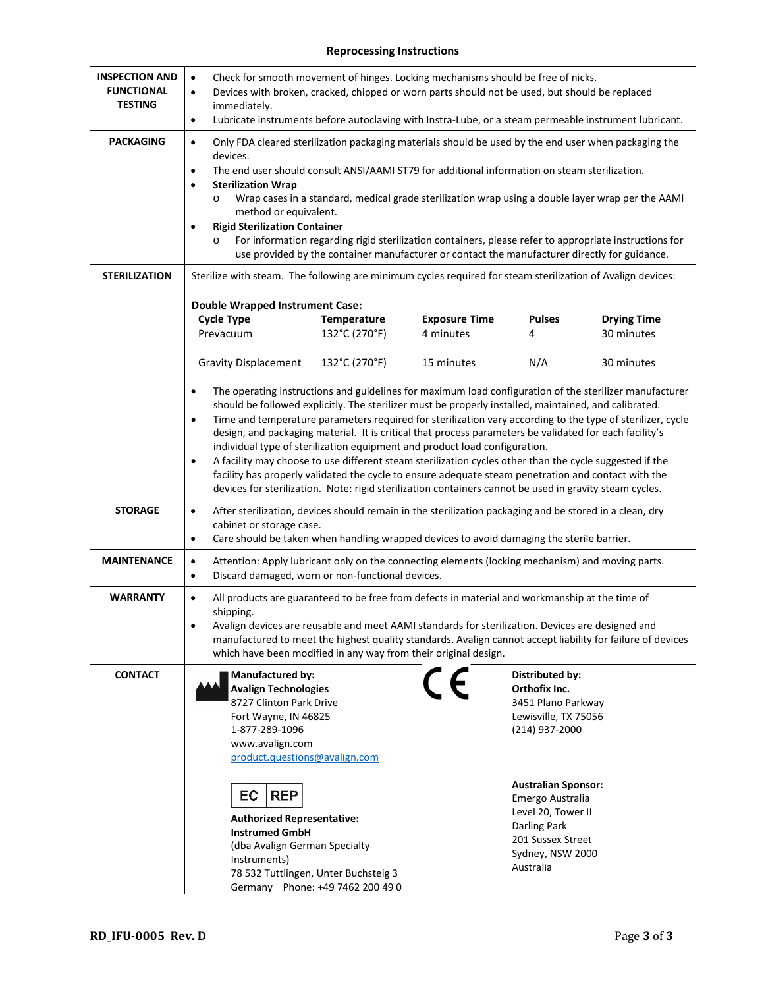## **Reprocessing Instructions**

| <b>INSPECTION AND</b><br><b>FUNCTIONAL</b><br><b>TESTING</b> | Check for smooth movement of hinges. Locking mechanisms should be free of nicks.<br>$\bullet$<br>Devices with broken, cracked, chipped or worn parts should not be used, but should be replaced<br>$\bullet$<br>immediately.<br>Lubricate instruments before autoclaving with Instra-Lube, or a steam permeable instrument lubricant.<br>$\bullet$                                                                                                                                                                                                                                                                                                                                                                                                                                                                                                                                          |                              |                                   |                    |                                  |  |
|--------------------------------------------------------------|---------------------------------------------------------------------------------------------------------------------------------------------------------------------------------------------------------------------------------------------------------------------------------------------------------------------------------------------------------------------------------------------------------------------------------------------------------------------------------------------------------------------------------------------------------------------------------------------------------------------------------------------------------------------------------------------------------------------------------------------------------------------------------------------------------------------------------------------------------------------------------------------|------------------------------|-----------------------------------|--------------------|----------------------------------|--|
| <b>PACKAGING</b>                                             | Only FDA cleared sterilization packaging materials should be used by the end user when packaging the<br>$\bullet$<br>devices.<br>The end user should consult ANSI/AAMI ST79 for additional information on steam sterilization.<br>$\bullet$<br><b>Sterilization Wrap</b><br>$\bullet$<br>Wrap cases in a standard, medical grade sterilization wrap using a double layer wrap per the AAMI<br>$\circ$<br>method or equivalent.<br><b>Rigid Sterilization Container</b><br>$\bullet$<br>For information regarding rigid sterilization containers, please refer to appropriate instructions for<br>$\circ$<br>use provided by the container manufacturer or contact the manufacturer directly for guidance.                                                                                                                                                                                   |                              |                                   |                    |                                  |  |
| <b>STERILIZATION</b>                                         | Sterilize with steam. The following are minimum cycles required for steam sterilization of Avalign devices:<br><b>Double Wrapped Instrument Case:</b>                                                                                                                                                                                                                                                                                                                                                                                                                                                                                                                                                                                                                                                                                                                                       |                              |                                   |                    |                                  |  |
|                                                              | <b>Cycle Type</b><br>Prevacuum                                                                                                                                                                                                                                                                                                                                                                                                                                                                                                                                                                                                                                                                                                                                                                                                                                                              | Temperature<br>132°C (270°F) | <b>Exposure Time</b><br>4 minutes | <b>Pulses</b><br>4 | <b>Drying Time</b><br>30 minutes |  |
|                                                              | <b>Gravity Displacement</b>                                                                                                                                                                                                                                                                                                                                                                                                                                                                                                                                                                                                                                                                                                                                                                                                                                                                 | 132°C (270°F)                | 15 minutes                        | N/A                | 30 minutes                       |  |
|                                                              | The operating instructions and guidelines for maximum load configuration of the sterilizer manufacturer<br>$\bullet$<br>should be followed explicitly. The sterilizer must be properly installed, maintained, and calibrated.<br>Time and temperature parameters required for sterilization vary according to the type of sterilizer, cycle<br>$\bullet$<br>design, and packaging material. It is critical that process parameters be validated for each facility's<br>individual type of sterilization equipment and product load configuration.<br>A facility may choose to use different steam sterilization cycles other than the cycle suggested if the<br>$\bullet$<br>facility has properly validated the cycle to ensure adequate steam penetration and contact with the<br>devices for sterilization. Note: rigid sterilization containers cannot be used in gravity steam cycles. |                              |                                   |                    |                                  |  |
| <b>STORAGE</b>                                               | After sterilization, devices should remain in the sterilization packaging and be stored in a clean, dry<br>$\bullet$<br>cabinet or storage case.<br>Care should be taken when handling wrapped devices to avoid damaging the sterile barrier.<br>$\bullet$                                                                                                                                                                                                                                                                                                                                                                                                                                                                                                                                                                                                                                  |                              |                                   |                    |                                  |  |
| <b>MAINTENANCE</b>                                           | Attention: Apply lubricant only on the connecting elements (locking mechanism) and moving parts.<br>$\bullet$<br>Discard damaged, worn or non-functional devices.<br>$\bullet$                                                                                                                                                                                                                                                                                                                                                                                                                                                                                                                                                                                                                                                                                                              |                              |                                   |                    |                                  |  |
| <b>WARRANTY</b>                                              | All products are guaranteed to be free from defects in material and workmanship at the time of<br>$\bullet$<br>shipping.<br>Avalign devices are reusable and meet AAMI standards for sterilization. Devices are designed and<br>$\bullet$<br>manufactured to meet the highest quality standards. Avalign cannot accept liability for failure of devices<br>which have been modified in any way from their original design.                                                                                                                                                                                                                                                                                                                                                                                                                                                                  |                              |                                   |                    |                                  |  |
| <b>CONTACT</b>                                               | <b>Manufactured by:</b><br>Distributed by:<br>Orthofix Inc.<br><b>Avalign Technologies</b><br>8727 Clinton Park Drive<br>3451 Plano Parkway<br>Fort Wayne, IN 46825<br>Lewisville, TX 75056<br>1-877-289-1096<br>(214) 937-2000<br>www.avalign.com<br>product.questions@avalign.com<br><b>Australian Sponsor:</b><br>EC<br><b>REP</b><br>Emergo Australia<br>Level 20, Tower II<br><b>Authorized Representative:</b><br>Darling Park<br><b>Instrumed GmbH</b>                                                                                                                                                                                                                                                                                                                                                                                                                               |                              |                                   |                    |                                  |  |
|                                                              | 201 Sussex Street<br>(dba Avalign German Specialty<br>Sydney, NSW 2000<br>Instruments)<br>Australia<br>78 532 Tuttlingen, Unter Buchsteig 3<br>Germany Phone: +49 7462 200 49 0                                                                                                                                                                                                                                                                                                                                                                                                                                                                                                                                                                                                                                                                                                             |                              |                                   |                    |                                  |  |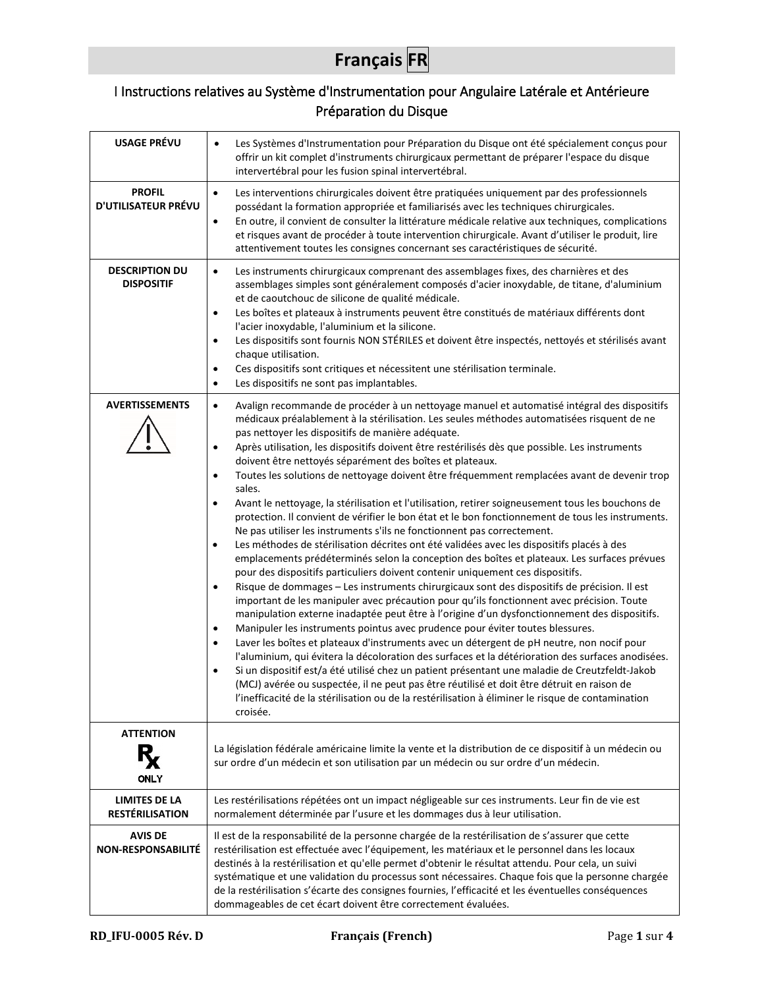## **Français FR**

## <span id="page-4-0"></span>I Instructions relatives au Système d'Instrumentation pour Angulaire Latérale et Antérieure Préparation du Disque

| <b>USAGE PRÉVU</b>                                            | Les Systèmes d'Instrumentation pour Préparation du Disque ont été spécialement conçus pour<br>$\bullet$<br>offrir un kit complet d'instruments chirurgicaux permettant de préparer l'espace du disque<br>intervertébral pour les fusion spinal intervertébral.                                                                                                                                                                                                                                                                                                                                                                                                                                                                                                                                                                                                                                                                                                                                                                                                                                                                                                                                                                                                                                                                                                                                                                                                                                                                                                                                                                                                                                                                                                                                                                                                                                                                                                                                                                                                                                                |
|---------------------------------------------------------------|---------------------------------------------------------------------------------------------------------------------------------------------------------------------------------------------------------------------------------------------------------------------------------------------------------------------------------------------------------------------------------------------------------------------------------------------------------------------------------------------------------------------------------------------------------------------------------------------------------------------------------------------------------------------------------------------------------------------------------------------------------------------------------------------------------------------------------------------------------------------------------------------------------------------------------------------------------------------------------------------------------------------------------------------------------------------------------------------------------------------------------------------------------------------------------------------------------------------------------------------------------------------------------------------------------------------------------------------------------------------------------------------------------------------------------------------------------------------------------------------------------------------------------------------------------------------------------------------------------------------------------------------------------------------------------------------------------------------------------------------------------------------------------------------------------------------------------------------------------------------------------------------------------------------------------------------------------------------------------------------------------------------------------------------------------------------------------------------------------------|
| <b>PROFIL</b><br><b>D'UTILISATEUR PRÉVU</b>                   | Les interventions chirurgicales doivent être pratiquées uniquement par des professionnels<br>$\bullet$<br>possédant la formation appropriée et familiarisés avec les techniques chirurgicales.<br>En outre, il convient de consulter la littérature médicale relative aux techniques, complications<br>$\bullet$<br>et risques avant de procéder à toute intervention chirurgicale. Avant d'utiliser le produit, lire<br>attentivement toutes les consignes concernant ses caractéristiques de sécurité.                                                                                                                                                                                                                                                                                                                                                                                                                                                                                                                                                                                                                                                                                                                                                                                                                                                                                                                                                                                                                                                                                                                                                                                                                                                                                                                                                                                                                                                                                                                                                                                                      |
| <b>DESCRIPTION DU</b><br><b>DISPOSITIF</b>                    | Les instruments chirurgicaux comprenant des assemblages fixes, des charnières et des<br>$\bullet$<br>assemblages simples sont généralement composés d'acier inoxydable, de titane, d'aluminium<br>et de caoutchouc de silicone de qualité médicale.<br>Les boîtes et plateaux à instruments peuvent être constitués de matériaux différents dont<br>$\bullet$<br>l'acier inoxydable, l'aluminium et la silicone.<br>Les dispositifs sont fournis NON STÉRILES et doivent être inspectés, nettoyés et stérilisés avant<br>$\bullet$<br>chaque utilisation.<br>Ces dispositifs sont critiques et nécessitent une stérilisation terminale.<br>$\bullet$<br>Les dispositifs ne sont pas implantables.<br>$\bullet$                                                                                                                                                                                                                                                                                                                                                                                                                                                                                                                                                                                                                                                                                                                                                                                                                                                                                                                                                                                                                                                                                                                                                                                                                                                                                                                                                                                                |
| <b>AVERTISSEMENTS</b>                                         | Avalign recommande de procéder à un nettoyage manuel et automatisé intégral des dispositifs<br>$\bullet$<br>médicaux préalablement à la stérilisation. Les seules méthodes automatisées risquent de ne<br>pas nettoyer les dispositifs de manière adéquate.<br>Après utilisation, les dispositifs doivent être restérilisés dès que possible. Les instruments<br>$\bullet$<br>doivent être nettoyés séparément des boîtes et plateaux.<br>Toutes les solutions de nettoyage doivent être fréquemment remplacées avant de devenir trop<br>$\bullet$<br>sales.<br>Avant le nettoyage, la stérilisation et l'utilisation, retirer soigneusement tous les bouchons de<br>$\bullet$<br>protection. Il convient de vérifier le bon état et le bon fonctionnement de tous les instruments.<br>Ne pas utiliser les instruments s'ils ne fonctionnent pas correctement.<br>Les méthodes de stérilisation décrites ont été validées avec les dispositifs placés à des<br>$\bullet$<br>emplacements prédéterminés selon la conception des boîtes et plateaux. Les surfaces prévues<br>pour des dispositifs particuliers doivent contenir uniquement ces dispositifs.<br>Risque de dommages - Les instruments chirurgicaux sont des dispositifs de précision. Il est<br>$\bullet$<br>important de les manipuler avec précaution pour qu'ils fonctionnent avec précision. Toute<br>manipulation externe inadaptée peut être à l'origine d'un dysfonctionnement des dispositifs.<br>Manipuler les instruments pointus avec prudence pour éviter toutes blessures.<br>$\bullet$<br>Laver les boîtes et plateaux d'instruments avec un détergent de pH neutre, non nocif pour<br>$\bullet$<br>l'aluminium, qui évitera la décoloration des surfaces et la détérioration des surfaces anodisées.<br>Si un dispositif est/a été utilisé chez un patient présentant une maladie de Creutzfeldt-Jakob<br>$\bullet$<br>(MCJ) avérée ou suspectée, il ne peut pas être réutilisé et doit être détruit en raison de<br>l'inefficacité de la stérilisation ou de la restérilisation à éliminer le risque de contamination<br>croisée. |
| <b>ATTENTION</b>                                              | La législation fédérale américaine limite la vente et la distribution de ce dispositif à un médecin ou<br>sur ordre d'un médecin et son utilisation par un médecin ou sur ordre d'un médecin.                                                                                                                                                                                                                                                                                                                                                                                                                                                                                                                                                                                                                                                                                                                                                                                                                                                                                                                                                                                                                                                                                                                                                                                                                                                                                                                                                                                                                                                                                                                                                                                                                                                                                                                                                                                                                                                                                                                 |
| <b>ONLY</b><br><b>LIMITES DE LA</b><br><b>RESTÉRILISATION</b> | Les restérilisations répétées ont un impact négligeable sur ces instruments. Leur fin de vie est<br>normalement déterminée par l'usure et les dommages dus à leur utilisation.                                                                                                                                                                                                                                                                                                                                                                                                                                                                                                                                                                                                                                                                                                                                                                                                                                                                                                                                                                                                                                                                                                                                                                                                                                                                                                                                                                                                                                                                                                                                                                                                                                                                                                                                                                                                                                                                                                                                |
| <b>AVIS DE</b><br><b>NON-RESPONSABILITÉ</b>                   | Il est de la responsabilité de la personne chargée de la restérilisation de s'assurer que cette<br>restérilisation est effectuée avec l'équipement, les matériaux et le personnel dans les locaux<br>destinés à la restérilisation et qu'elle permet d'obtenir le résultat attendu. Pour cela, un suivi<br>systématique et une validation du processus sont nécessaires. Chaque fois que la personne chargée<br>de la restérilisation s'écarte des consignes fournies, l'efficacité et les éventuelles conséquences<br>dommageables de cet écart doivent être correctement évaluées.                                                                                                                                                                                                                                                                                                                                                                                                                                                                                                                                                                                                                                                                                                                                                                                                                                                                                                                                                                                                                                                                                                                                                                                                                                                                                                                                                                                                                                                                                                                          |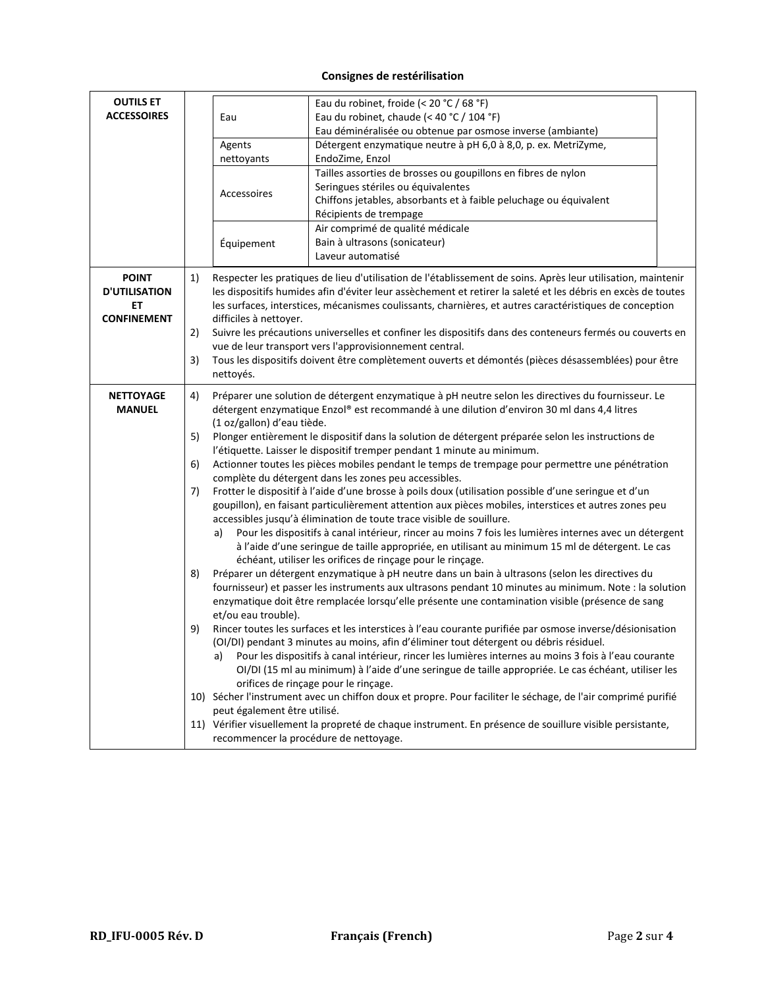## **Consignes de restérilisation**

| <b>OUTILS ET</b><br><b>ACCESSOIRES</b>                           |                                                                                                                                                                                         | Eau<br>Agents<br>nettoyants<br>Accessoires<br>Équipement                                                                                                                                                                                                                                                                                                                                                                                                                                                                                                                                                                                                                                                                                                                                                                                                                                                                                                                                                                                                                                                                                                                                                                                                                                                                                                                                                                                                                                                                                                                                                                                                                                                                                                                                                                                                                                                                                                                                                                                                                                                                         | Eau du robinet, froide (< 20 °C / 68 °F)<br>Eau du robinet, chaude (< 40 °C / 104 °F)<br>Eau déminéralisée ou obtenue par osmose inverse (ambiante)<br>Détergent enzymatique neutre à pH 6,0 à 8,0, p. ex. MetriZyme,<br>EndoZime, Enzol<br>Tailles assorties de brosses ou goupillons en fibres de nylon<br>Seringues stériles ou équivalentes<br>Chiffons jetables, absorbants et à faible peluchage ou équivalent<br>Récipients de trempage<br>Air comprimé de qualité médicale<br>Bain à ultrasons (sonicateur)<br>Laveur automatisé                                                                               |  |  |
|------------------------------------------------------------------|-----------------------------------------------------------------------------------------------------------------------------------------------------------------------------------------|----------------------------------------------------------------------------------------------------------------------------------------------------------------------------------------------------------------------------------------------------------------------------------------------------------------------------------------------------------------------------------------------------------------------------------------------------------------------------------------------------------------------------------------------------------------------------------------------------------------------------------------------------------------------------------------------------------------------------------------------------------------------------------------------------------------------------------------------------------------------------------------------------------------------------------------------------------------------------------------------------------------------------------------------------------------------------------------------------------------------------------------------------------------------------------------------------------------------------------------------------------------------------------------------------------------------------------------------------------------------------------------------------------------------------------------------------------------------------------------------------------------------------------------------------------------------------------------------------------------------------------------------------------------------------------------------------------------------------------------------------------------------------------------------------------------------------------------------------------------------------------------------------------------------------------------------------------------------------------------------------------------------------------------------------------------------------------------------------------------------------------|------------------------------------------------------------------------------------------------------------------------------------------------------------------------------------------------------------------------------------------------------------------------------------------------------------------------------------------------------------------------------------------------------------------------------------------------------------------------------------------------------------------------------------------------------------------------------------------------------------------------|--|--|
| <b>POINT</b><br><b>D'UTILISATION</b><br>ET<br><b>CONFINEMENT</b> | 1)<br>2)<br>3)                                                                                                                                                                          | difficiles à nettoyer.                                                                                                                                                                                                                                                                                                                                                                                                                                                                                                                                                                                                                                                                                                                                                                                                                                                                                                                                                                                                                                                                                                                                                                                                                                                                                                                                                                                                                                                                                                                                                                                                                                                                                                                                                                                                                                                                                                                                                                                                                                                                                                           | Respecter les pratiques de lieu d'utilisation de l'établissement de soins. Après leur utilisation, maintenir<br>les dispositifs humides afin d'éviter leur assèchement et retirer la saleté et les débris en excès de toutes<br>les surfaces, interstices, mécanismes coulissants, charnières, et autres caractéristiques de conception<br>Suivre les précautions universelles et confiner les dispositifs dans des conteneurs fermés ou couverts en<br>vue de leur transport vers l'approvisionnement central.<br>Tous les dispositifs doivent être complètement ouverts et démontés (pièces désassemblées) pour être |  |  |
| <b>NETTOYAGE</b><br><b>MANUEL</b>                                | 4)<br>5)<br>6)<br>7)<br>8)<br>9)<br>11) Vérifier visuellement la propreté de chaque instrument. En présence de souillure visible persistante,<br>recommencer la procédure de nettoyage. | nettoyés.<br>Préparer une solution de détergent enzymatique à pH neutre selon les directives du fournisseur. Le<br>détergent enzymatique Enzol® est recommandé à une dilution d'environ 30 ml dans 4,4 litres<br>(1 oz/gallon) d'eau tiède.<br>Plonger entièrement le dispositif dans la solution de détergent préparée selon les instructions de<br>l'étiquette. Laisser le dispositif tremper pendant 1 minute au minimum.<br>Actionner toutes les pièces mobiles pendant le temps de trempage pour permettre une pénétration<br>complète du détergent dans les zones peu accessibles.<br>Frotter le dispositif à l'aide d'une brosse à poils doux (utilisation possible d'une seringue et d'un<br>goupillon), en faisant particulièrement attention aux pièces mobiles, interstices et autres zones peu<br>accessibles jusqu'à élimination de toute trace visible de souillure.<br>Pour les dispositifs à canal intérieur, rincer au moins 7 fois les lumières internes avec un détergent<br>a)<br>à l'aide d'une seringue de taille appropriée, en utilisant au minimum 15 ml de détergent. Le cas<br>échéant, utiliser les orifices de rinçage pour le rinçage.<br>Préparer un détergent enzymatique à pH neutre dans un bain à ultrasons (selon les directives du<br>fournisseur) et passer les instruments aux ultrasons pendant 10 minutes au minimum. Note : la solution<br>enzymatique doit être remplacée lorsqu'elle présente une contamination visible (présence de sang<br>et/ou eau trouble).<br>Rincer toutes les surfaces et les interstices à l'eau courante purifiée par osmose inverse/désionisation<br>(OI/DI) pendant 3 minutes au moins, afin d'éliminer tout détergent ou débris résiduel.<br>Pour les dispositifs à canal intérieur, rincer les lumières internes au moins 3 fois à l'eau courante<br>a)<br>OI/DI (15 ml au minimum) à l'aide d'une seringue de taille appropriée. Le cas échéant, utiliser les<br>orifices de rinçage pour le rinçage.<br>10) Sécher l'instrument avec un chiffon doux et propre. Pour faciliter le séchage, de l'air comprimé purifié<br>peut également être utilisé. |                                                                                                                                                                                                                                                                                                                                                                                                                                                                                                                                                                                                                        |  |  |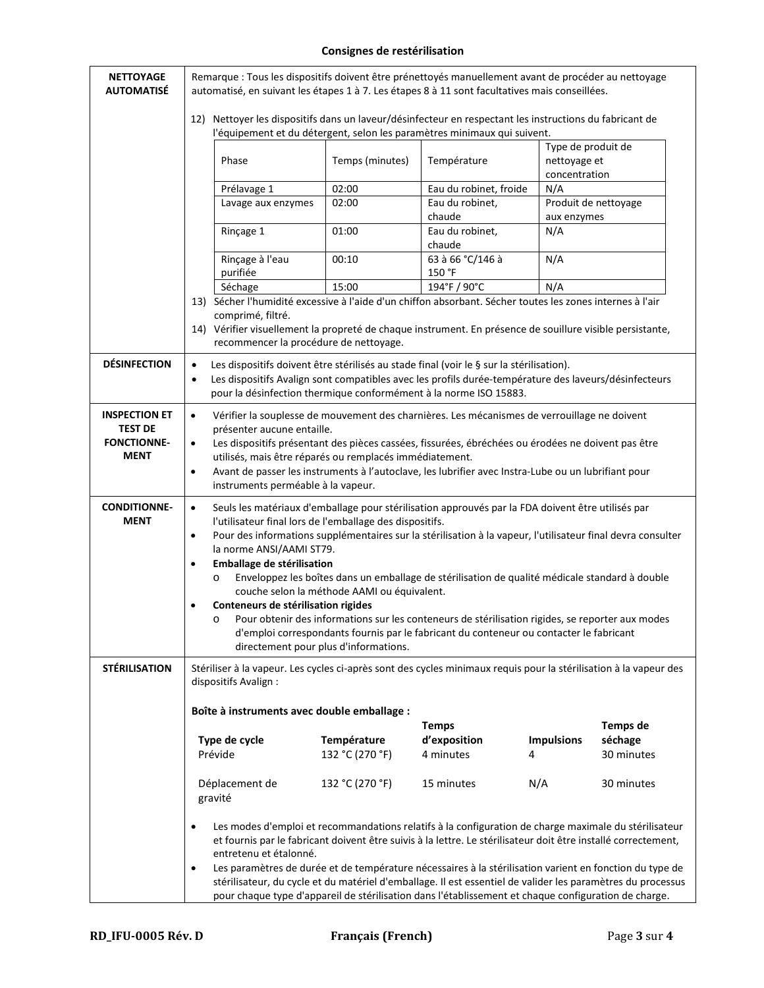## **Consignes de restérilisation**

| <b>NETTOYAGE</b><br><b>AUTOMATISÉ</b>                                       | Remarque : Tous les dispositifs doivent être prénettoyés manuellement avant de procéder au nettoyage<br>automatisé, en suivant les étapes 1 à 7. Les étapes 8 à 11 sont facultatives mais conseillées.                                                                                                                                                                                                                                                                                                                                                                                                                                                                                                                                                                                                                              |                                             |                                                                                                                                                                                                                                                                        |                                                     |                      |  |  |
|-----------------------------------------------------------------------------|-------------------------------------------------------------------------------------------------------------------------------------------------------------------------------------------------------------------------------------------------------------------------------------------------------------------------------------------------------------------------------------------------------------------------------------------------------------------------------------------------------------------------------------------------------------------------------------------------------------------------------------------------------------------------------------------------------------------------------------------------------------------------------------------------------------------------------------|---------------------------------------------|------------------------------------------------------------------------------------------------------------------------------------------------------------------------------------------------------------------------------------------------------------------------|-----------------------------------------------------|----------------------|--|--|
|                                                                             | 12) Nettoyer les dispositifs dans un laveur/désinfecteur en respectant les instructions du fabricant de<br>l'équipement et du détergent, selon les paramètres minimaux qui suivent.                                                                                                                                                                                                                                                                                                                                                                                                                                                                                                                                                                                                                                                 |                                             |                                                                                                                                                                                                                                                                        |                                                     |                      |  |  |
|                                                                             | Phase                                                                                                                                                                                                                                                                                                                                                                                                                                                                                                                                                                                                                                                                                                                                                                                                                               | Temps (minutes)                             | Température                                                                                                                                                                                                                                                            | Type de produit de<br>nettoyage et<br>concentration |                      |  |  |
|                                                                             | Prélavage 1                                                                                                                                                                                                                                                                                                                                                                                                                                                                                                                                                                                                                                                                                                                                                                                                                         | 02:00                                       | Eau du robinet, froide                                                                                                                                                                                                                                                 | N/A                                                 |                      |  |  |
|                                                                             | Lavage aux enzymes                                                                                                                                                                                                                                                                                                                                                                                                                                                                                                                                                                                                                                                                                                                                                                                                                  | 02:00                                       | Eau du robinet,                                                                                                                                                                                                                                                        |                                                     | Produit de nettoyage |  |  |
|                                                                             |                                                                                                                                                                                                                                                                                                                                                                                                                                                                                                                                                                                                                                                                                                                                                                                                                                     |                                             | chaude                                                                                                                                                                                                                                                                 | aux enzymes                                         |                      |  |  |
|                                                                             | Rinçage 1                                                                                                                                                                                                                                                                                                                                                                                                                                                                                                                                                                                                                                                                                                                                                                                                                           | 01:00                                       | Eau du robinet,<br>chaude                                                                                                                                                                                                                                              | N/A                                                 |                      |  |  |
|                                                                             | Rinçage à l'eau<br>purifiée                                                                                                                                                                                                                                                                                                                                                                                                                                                                                                                                                                                                                                                                                                                                                                                                         | 00:10                                       | 63 à 66 °C/146 à<br>150 °F                                                                                                                                                                                                                                             | N/A                                                 |                      |  |  |
|                                                                             | Séchage                                                                                                                                                                                                                                                                                                                                                                                                                                                                                                                                                                                                                                                                                                                                                                                                                             | 15:00                                       | 194°F / 90°C                                                                                                                                                                                                                                                           | N/A                                                 |                      |  |  |
|                                                                             | comprimé, filtré.                                                                                                                                                                                                                                                                                                                                                                                                                                                                                                                                                                                                                                                                                                                                                                                                                   | recommencer la procédure de nettoyage.      | 13) Sécher l'humidité excessive à l'aide d'un chiffon absorbant. Sécher toutes les zones internes à l'air<br>14) Vérifier visuellement la propreté de chaque instrument. En présence de souillure visible persistante,                                                 |                                                     |                      |  |  |
| <b>DÉSINFECTION</b>                                                         | $\bullet$<br>$\bullet$                                                                                                                                                                                                                                                                                                                                                                                                                                                                                                                                                                                                                                                                                                                                                                                                              |                                             | Les dispositifs doivent être stérilisés au stade final (voir le § sur la stérilisation).<br>Les dispositifs Avalign sont compatibles avec les profils durée-température des laveurs/désinfecteurs<br>pour la désinfection thermique conformément à la norme ISO 15883. |                                                     |                      |  |  |
| <b>INSPECTION ET</b><br><b>TEST DE</b><br><b>FONCTIONNE-</b><br><b>MENT</b> | Vérifier la souplesse de mouvement des charnières. Les mécanismes de verrouillage ne doivent<br>$\bullet$<br>présenter aucune entaille.<br>Les dispositifs présentant des pièces cassées, fissurées, ébréchées ou érodées ne doivent pas être<br>$\bullet$<br>utilisés, mais être réparés ou remplacés immédiatement.<br>Avant de passer les instruments à l'autoclave, les lubrifier avec Instra-Lube ou un lubrifiant pour<br>$\bullet$<br>instruments perméable à la vapeur.                                                                                                                                                                                                                                                                                                                                                     |                                             |                                                                                                                                                                                                                                                                        |                                                     |                      |  |  |
| <b>CONDITIONNE-</b><br><b>MENT</b>                                          | Seuls les matériaux d'emballage pour stérilisation approuvés par la FDA doivent être utilisés par<br>$\bullet$<br>l'utilisateur final lors de l'emballage des dispositifs.<br>Pour des informations supplémentaires sur la stérilisation à la vapeur, l'utilisateur final devra consulter<br>$\bullet$<br>la norme ANSI/AAMI ST79.<br>Emballage de stérilisation<br>$\bullet$<br>Enveloppez les boîtes dans un emballage de stérilisation de qualité médicale standard à double<br>$\circ$<br>couche selon la méthode AAMI ou équivalent.<br>Conteneurs de stérilisation rigides<br>Pour obtenir des informations sur les conteneurs de stérilisation rigides, se reporter aux modes<br>$\circ$<br>d'emploi correspondants fournis par le fabricant du conteneur ou contacter le fabricant<br>directement pour plus d'informations. |                                             |                                                                                                                                                                                                                                                                        |                                                     |                      |  |  |
| <b>STÉRILISATION</b>                                                        | dispositifs Avalign :                                                                                                                                                                                                                                                                                                                                                                                                                                                                                                                                                                                                                                                                                                                                                                                                               |                                             | Stériliser à la vapeur. Les cycles ci-après sont des cycles minimaux requis pour la stérilisation à la vapeur des                                                                                                                                                      |                                                     |                      |  |  |
|                                                                             |                                                                                                                                                                                                                                                                                                                                                                                                                                                                                                                                                                                                                                                                                                                                                                                                                                     | Boîte à instruments avec double emballage : |                                                                                                                                                                                                                                                                        |                                                     |                      |  |  |
|                                                                             | Temps de<br><b>Temps</b><br>Température<br>d'exposition<br><b>Impulsions</b><br>séchage<br>Type de cycle<br>Prévide<br>30 minutes<br>132 °C (270 °F)<br>4 minutes<br>4                                                                                                                                                                                                                                                                                                                                                                                                                                                                                                                                                                                                                                                              |                                             |                                                                                                                                                                                                                                                                        |                                                     |                      |  |  |
|                                                                             | Déplacement de<br>gravité                                                                                                                                                                                                                                                                                                                                                                                                                                                                                                                                                                                                                                                                                                                                                                                                           | 132 °C (270 °F)                             | 15 minutes                                                                                                                                                                                                                                                             | N/A                                                 | 30 minutes           |  |  |
|                                                                             | Les modes d'emploi et recommandations relatifs à la configuration de charge maximale du stérilisateur<br>$\bullet$<br>et fournis par le fabricant doivent être suivis à la lettre. Le stérilisateur doit être installé correctement,<br>entretenu et étalonné.<br>Les paramètres de durée et de température nécessaires à la stérilisation varient en fonction du type de<br>$\bullet$<br>stérilisateur, du cycle et du matériel d'emballage. Il est essentiel de valider les paramètres du processus<br>pour chaque type d'appareil de stérilisation dans l'établissement et chaque configuration de charge.                                                                                                                                                                                                                       |                                             |                                                                                                                                                                                                                                                                        |                                                     |                      |  |  |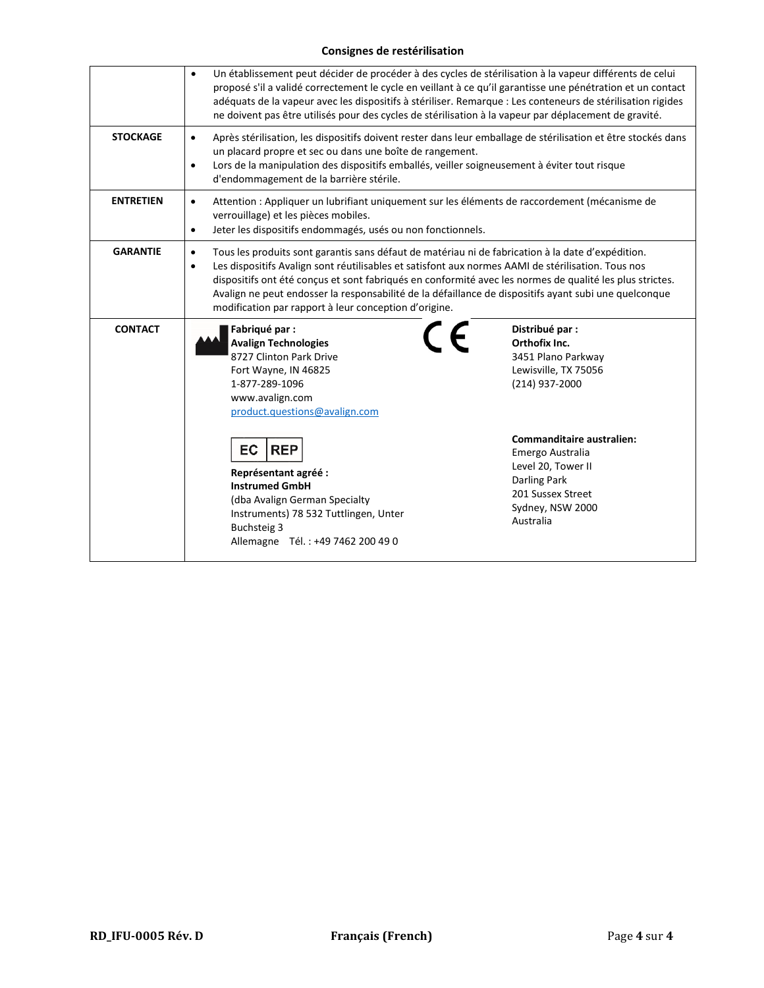## **Consignes de restérilisation**

|                  | Un établissement peut décider de procéder à des cycles de stérilisation à la vapeur différents de celui<br>$\bullet$<br>proposé s'il a validé correctement le cycle en veillant à ce qu'il garantisse une pénétration et un contact<br>adéquats de la vapeur avec les dispositifs à stériliser. Remarque : Les conteneurs de stérilisation rigides<br>ne doivent pas être utilisés pour des cycles de stérilisation à la vapeur par déplacement de gravité.                                                     |                                                                                                                                                                                                                                                      |  |  |  |  |
|------------------|-----------------------------------------------------------------------------------------------------------------------------------------------------------------------------------------------------------------------------------------------------------------------------------------------------------------------------------------------------------------------------------------------------------------------------------------------------------------------------------------------------------------|------------------------------------------------------------------------------------------------------------------------------------------------------------------------------------------------------------------------------------------------------|--|--|--|--|
| <b>STOCKAGE</b>  | Après stérilisation, les dispositifs doivent rester dans leur emballage de stérilisation et être stockés dans<br>$\bullet$<br>un placard propre et sec ou dans une boîte de rangement.<br>Lors de la manipulation des dispositifs emballés, veiller soigneusement à éviter tout risque<br>$\bullet$<br>d'endommagement de la barrière stérile.                                                                                                                                                                  |                                                                                                                                                                                                                                                      |  |  |  |  |
| <b>ENTRETIEN</b> | $\bullet$<br>verrouillage) et les pièces mobiles.<br>$\bullet$                                                                                                                                                                                                                                                                                                                                                                                                                                                  | Attention : Appliquer un lubrifiant uniquement sur les éléments de raccordement (mécanisme de<br>Jeter les dispositifs endommagés, usés ou non fonctionnels.                                                                                         |  |  |  |  |
| <b>GARANTIE</b>  | Tous les produits sont garantis sans défaut de matériau ni de fabrication à la date d'expédition.<br>$\bullet$<br>Les dispositifs Avalign sont réutilisables et satisfont aux normes AAMI de stérilisation. Tous nos<br>$\bullet$<br>dispositifs ont été conçus et sont fabriqués en conformité avec les normes de qualité les plus strictes.<br>Avalign ne peut endosser la responsabilité de la défaillance de dispositifs ayant subi une quelconque<br>modification par rapport à leur conception d'origine. |                                                                                                                                                                                                                                                      |  |  |  |  |
| <b>CONTACT</b>   | Fabriqué par :<br><b>Avalign Technologies</b><br>8727 Clinton Park Drive<br>Fort Wayne, IN 46825<br>1-877-289-1096<br>www.avalign.com<br>product.questions@avalign.com<br>EC<br><b>REP</b><br>Représentant agréé :<br><b>Instrumed GmbH</b><br>(dba Avalign German Specialty<br>Instruments) 78 532 Tuttlingen, Unter<br>Buchsteig 3<br>Allemagne Tél.: +49 7462 200 49 0                                                                                                                                       | Distribué par :<br>Orthofix Inc.<br>3451 Plano Parkway<br>Lewisville, TX 75056<br>(214) 937-2000<br><b>Commanditaire australien:</b><br>Emergo Australia<br>Level 20, Tower II<br>Darling Park<br>201 Sussex Street<br>Sydney, NSW 2000<br>Australia |  |  |  |  |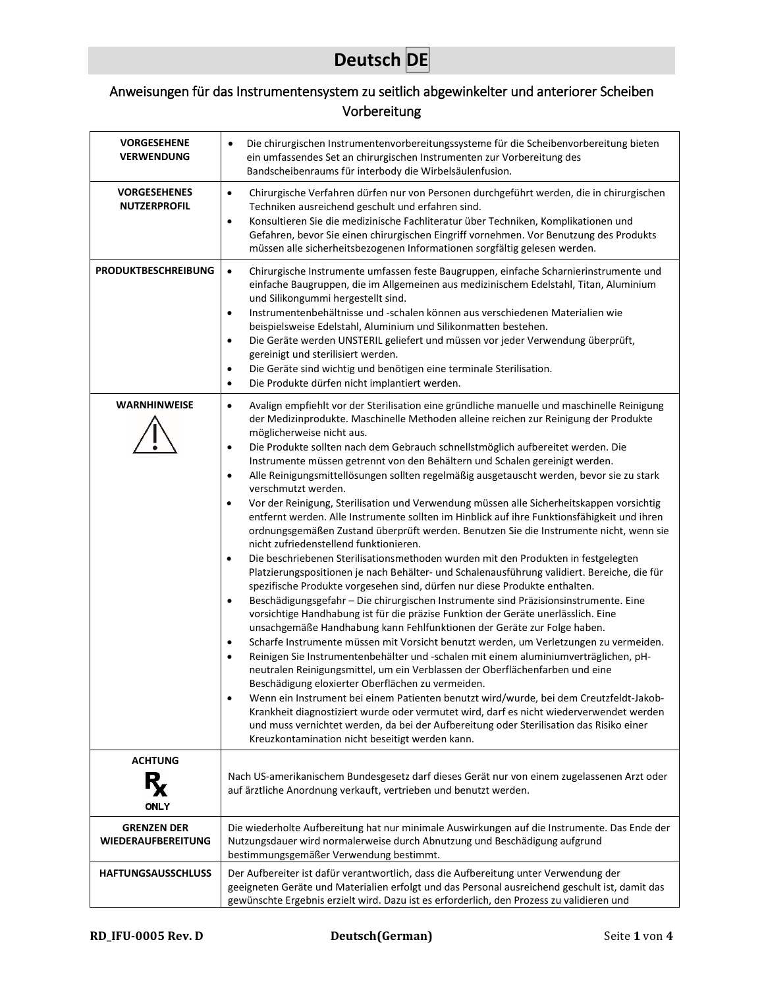## **Deutsch DE**

## <span id="page-8-0"></span>Anweisungen für das Instrumentensystem zu seitlich abgewinkelter und anteriorer Scheiben Vorbereitung

| <b>VORGESEHENE</b><br><b>VERWENDUNG</b>         | Die chirurgischen Instrumentenvorbereitungssysteme für die Scheibenvorbereitung bieten<br>$\bullet$<br>ein umfassendes Set an chirurgischen Instrumenten zur Vorbereitung des<br>Bandscheibenraums für interbody die Wirbelsäulenfusion.                                                                                                                                                                                                                                                                                                                                                                                                                                                                                                                                                                                                                                                                                                                                                                                                                                                                                                                                                                                                                                                                                                                                                                                                                                                                                                                                                                                                                                                                                                                                                                                                                                                                                                                                                                                                                                                             |
|-------------------------------------------------|------------------------------------------------------------------------------------------------------------------------------------------------------------------------------------------------------------------------------------------------------------------------------------------------------------------------------------------------------------------------------------------------------------------------------------------------------------------------------------------------------------------------------------------------------------------------------------------------------------------------------------------------------------------------------------------------------------------------------------------------------------------------------------------------------------------------------------------------------------------------------------------------------------------------------------------------------------------------------------------------------------------------------------------------------------------------------------------------------------------------------------------------------------------------------------------------------------------------------------------------------------------------------------------------------------------------------------------------------------------------------------------------------------------------------------------------------------------------------------------------------------------------------------------------------------------------------------------------------------------------------------------------------------------------------------------------------------------------------------------------------------------------------------------------------------------------------------------------------------------------------------------------------------------------------------------------------------------------------------------------------------------------------------------------------------------------------------------------------|
| <b>VORGESEHENES</b><br><b>NUTZERPROFIL</b>      | Chirurgische Verfahren dürfen nur von Personen durchgeführt werden, die in chirurgischen<br>$\bullet$<br>Techniken ausreichend geschult und erfahren sind.<br>Konsultieren Sie die medizinische Fachliteratur über Techniken, Komplikationen und<br>$\bullet$<br>Gefahren, bevor Sie einen chirurgischen Eingriff vornehmen. Vor Benutzung des Produkts<br>müssen alle sicherheitsbezogenen Informationen sorgfältig gelesen werden.                                                                                                                                                                                                                                                                                                                                                                                                                                                                                                                                                                                                                                                                                                                                                                                                                                                                                                                                                                                                                                                                                                                                                                                                                                                                                                                                                                                                                                                                                                                                                                                                                                                                 |
| <b>PRODUKTBESCHREIBUNG</b>                      | Chirurgische Instrumente umfassen feste Baugruppen, einfache Scharnierinstrumente und<br>$\bullet$<br>einfache Baugruppen, die im Allgemeinen aus medizinischem Edelstahl, Titan, Aluminium<br>und Silikongummi hergestellt sind.<br>Instrumentenbehältnisse und -schalen können aus verschiedenen Materialien wie<br>$\bullet$<br>beispielsweise Edelstahl, Aluminium und Silikonmatten bestehen.<br>Die Geräte werden UNSTERIL geliefert und müssen vor jeder Verwendung überprüft,<br>$\bullet$<br>gereinigt und sterilisiert werden.<br>Die Geräte sind wichtig und benötigen eine terminale Sterilisation.<br>$\bullet$<br>Die Produkte dürfen nicht implantiert werden.<br>$\bullet$                                                                                                                                                                                                                                                                                                                                                                                                                                                                                                                                                                                                                                                                                                                                                                                                                                                                                                                                                                                                                                                                                                                                                                                                                                                                                                                                                                                                           |
| <b>WARNHINWEISE</b>                             | Avalign empfiehlt vor der Sterilisation eine gründliche manuelle und maschinelle Reinigung<br>$\bullet$<br>der Medizinprodukte. Maschinelle Methoden alleine reichen zur Reinigung der Produkte<br>möglicherweise nicht aus.<br>Die Produkte sollten nach dem Gebrauch schnellstmöglich aufbereitet werden. Die<br>$\bullet$<br>Instrumente müssen getrennt von den Behältern und Schalen gereinigt werden.<br>Alle Reinigungsmittellösungen sollten regelmäßig ausgetauscht werden, bevor sie zu stark<br>$\bullet$<br>verschmutzt werden.<br>Vor der Reinigung, Sterilisation und Verwendung müssen alle Sicherheitskappen vorsichtig<br>$\bullet$<br>entfernt werden. Alle Instrumente sollten im Hinblick auf ihre Funktionsfähigkeit und ihren<br>ordnungsgemäßen Zustand überprüft werden. Benutzen Sie die Instrumente nicht, wenn sie<br>nicht zufriedenstellend funktionieren.<br>Die beschriebenen Sterilisationsmethoden wurden mit den Produkten in festgelegten<br>Platzierungspositionen je nach Behälter- und Schalenausführung validiert. Bereiche, die für<br>spezifische Produkte vorgesehen sind, dürfen nur diese Produkte enthalten.<br>Beschädigungsgefahr - Die chirurgischen Instrumente sind Präzisionsinstrumente. Eine<br>$\bullet$<br>vorsichtige Handhabung ist für die präzise Funktion der Geräte unerlässlich. Eine<br>unsachgemäße Handhabung kann Fehlfunktionen der Geräte zur Folge haben.<br>Scharfe Instrumente müssen mit Vorsicht benutzt werden, um Verletzungen zu vermeiden.<br>$\bullet$<br>Reinigen Sie Instrumentenbehälter und -schalen mit einem aluminiumverträglichen, pH-<br>neutralen Reinigungsmittel, um ein Verblassen der Oberflächenfarben und eine<br>Beschädigung eloxierter Oberflächen zu vermeiden.<br>Wenn ein Instrument bei einem Patienten benutzt wird/wurde, bei dem Creutzfeldt-Jakob-<br>Krankheit diagnostiziert wurde oder vermutet wird, darf es nicht wiederverwendet werden<br>und muss vernichtet werden, da bei der Aufbereitung oder Sterilisation das Risiko einer<br>Kreuzkontamination nicht beseitigt werden kann. |
| <b>ACHTUNG</b><br><b>ONLY</b>                   | Nach US-amerikanischem Bundesgesetz darf dieses Gerät nur von einem zugelassenen Arzt oder<br>auf ärztliche Anordnung verkauft, vertrieben und benutzt werden.                                                                                                                                                                                                                                                                                                                                                                                                                                                                                                                                                                                                                                                                                                                                                                                                                                                                                                                                                                                                                                                                                                                                                                                                                                                                                                                                                                                                                                                                                                                                                                                                                                                                                                                                                                                                                                                                                                                                       |
| <b>GRENZEN DER</b><br><b>WIEDERAUFBEREITUNG</b> | Die wiederholte Aufbereitung hat nur minimale Auswirkungen auf die Instrumente. Das Ende der<br>Nutzungsdauer wird normalerweise durch Abnutzung und Beschädigung aufgrund<br>bestimmungsgemäßer Verwendung bestimmt.                                                                                                                                                                                                                                                                                                                                                                                                                                                                                                                                                                                                                                                                                                                                                                                                                                                                                                                                                                                                                                                                                                                                                                                                                                                                                                                                                                                                                                                                                                                                                                                                                                                                                                                                                                                                                                                                                |
| <b>HAFTUNGSAUSSCHLUSS</b>                       | Der Aufbereiter ist dafür verantwortlich, dass die Aufbereitung unter Verwendung der<br>geeigneten Geräte und Materialien erfolgt und das Personal ausreichend geschult ist, damit das<br>gewünschte Ergebnis erzielt wird. Dazu ist es erforderlich, den Prozess zu validieren und                                                                                                                                                                                                                                                                                                                                                                                                                                                                                                                                                                                                                                                                                                                                                                                                                                                                                                                                                                                                                                                                                                                                                                                                                                                                                                                                                                                                                                                                                                                                                                                                                                                                                                                                                                                                                  |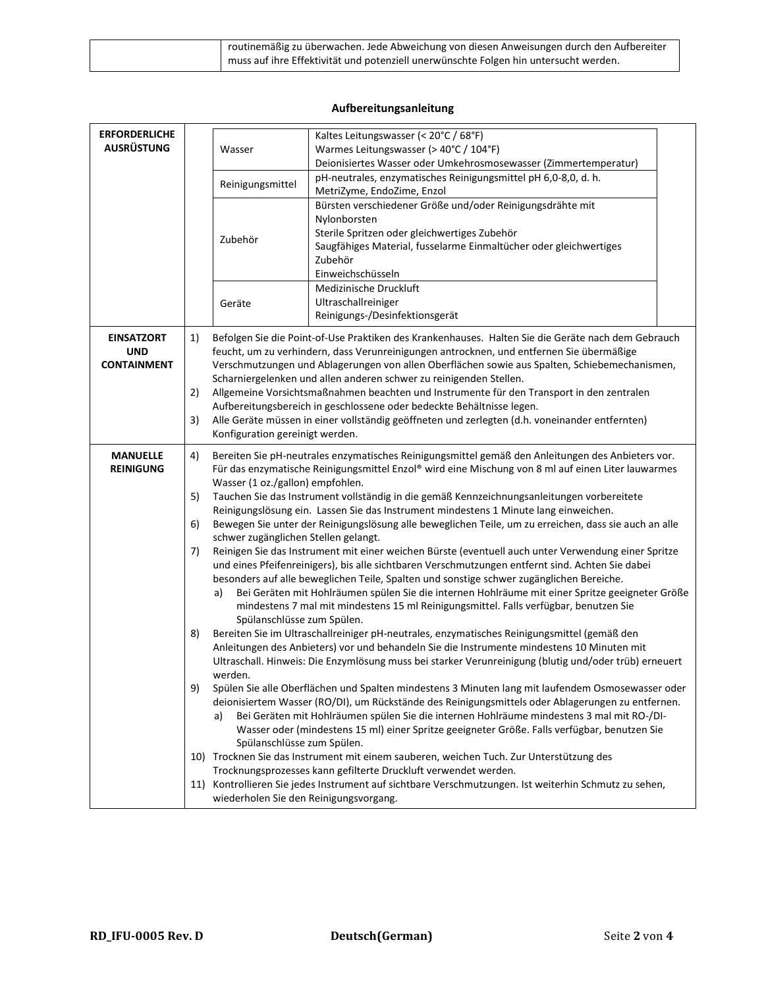| routinemäßig zu überwachen. Jede Abweichung von diesen Anweisungen durch den Aufbereiter |
|------------------------------------------------------------------------------------------|
| muss auf ihre Effektivität und potenziell unerwünschte Folgen hin untersucht werden.     |

## **Aufbereitungsanleitung**

| <b>ERFORDERLICHE</b><br><b>AUSRÜSTUNG</b>             |                                         | Wasser<br>Reinigungsmittel<br>Zubehör<br>Geräte                                                                                                                                                                                                                                                                                                                                                                                                                                                                                                                                                                                                                                                                                                                                                                                                                                                                                                                                                                                                                                                                                                                                                                                                                                                                                                                                                                                                                                                                                                                                                                                                                                                                                                                                                                                                                                                                                                                                                                                                                                                                                                                                             | Kaltes Leitungswasser (< 20°C / 68°F)<br>Warmes Leitungswasser (> 40°C / 104°F)<br>Deionisiertes Wasser oder Umkehrosmosewasser (Zimmertemperatur)<br>pH-neutrales, enzymatisches Reinigungsmittel pH 6,0-8,0, d. h.<br>MetriZyme, EndoZime, Enzol<br>Bürsten verschiedener Größe und/oder Reinigungsdrähte mit<br>Nylonborsten<br>Sterile Spritzen oder gleichwertiges Zubehör<br>Saugfähiges Material, fusselarme Einmaltücher oder gleichwertiges<br>Zubehör<br>Einweichschüsseln<br>Medizinische Druckluft<br>Ultraschallreiniger<br>Reinigungs-/Desinfektionsgerät                                                                       |
|-------------------------------------------------------|-----------------------------------------|---------------------------------------------------------------------------------------------------------------------------------------------------------------------------------------------------------------------------------------------------------------------------------------------------------------------------------------------------------------------------------------------------------------------------------------------------------------------------------------------------------------------------------------------------------------------------------------------------------------------------------------------------------------------------------------------------------------------------------------------------------------------------------------------------------------------------------------------------------------------------------------------------------------------------------------------------------------------------------------------------------------------------------------------------------------------------------------------------------------------------------------------------------------------------------------------------------------------------------------------------------------------------------------------------------------------------------------------------------------------------------------------------------------------------------------------------------------------------------------------------------------------------------------------------------------------------------------------------------------------------------------------------------------------------------------------------------------------------------------------------------------------------------------------------------------------------------------------------------------------------------------------------------------------------------------------------------------------------------------------------------------------------------------------------------------------------------------------------------------------------------------------------------------------------------------------|-----------------------------------------------------------------------------------------------------------------------------------------------------------------------------------------------------------------------------------------------------------------------------------------------------------------------------------------------------------------------------------------------------------------------------------------------------------------------------------------------------------------------------------------------------------------------------------------------------------------------------------------------|
| <b>EINSATZORT</b><br><b>UND</b><br><b>CONTAINMENT</b> | 1)<br>2)<br>3)                          |                                                                                                                                                                                                                                                                                                                                                                                                                                                                                                                                                                                                                                                                                                                                                                                                                                                                                                                                                                                                                                                                                                                                                                                                                                                                                                                                                                                                                                                                                                                                                                                                                                                                                                                                                                                                                                                                                                                                                                                                                                                                                                                                                                                             | Befolgen Sie die Point-of-Use Praktiken des Krankenhauses. Halten Sie die Geräte nach dem Gebrauch<br>feucht, um zu verhindern, dass Verunreinigungen antrocknen, und entfernen Sie übermäßige<br>Verschmutzungen und Ablagerungen von allen Oberflächen sowie aus Spalten, Schiebemechanismen,<br>Scharniergelenken und allen anderen schwer zu reinigenden Stellen.<br>Allgemeine Vorsichtsmaßnahmen beachten und Instrumente für den Transport in den zentralen<br>Aufbereitungsbereich in geschlossene oder bedeckte Behältnisse legen.<br>Alle Geräte müssen in einer vollständig geöffneten und zerlegten (d.h. voneinander entfernten) |
| <b>MANUELLE</b><br><b>REINIGUNG</b>                   | 4)<br>5)<br>6)<br>7)<br>8)<br>9)<br>11) | Konfiguration gereinigt werden.<br>Bereiten Sie pH-neutrales enzymatisches Reinigungsmittel gemäß den Anleitungen des Anbieters vor.<br>Für das enzymatische Reinigungsmittel Enzol® wird eine Mischung von 8 ml auf einen Liter lauwarmes<br>Wasser (1 oz./gallon) empfohlen.<br>Tauchen Sie das Instrument vollständig in die gemäß Kennzeichnungsanleitungen vorbereitete<br>Reinigungslösung ein. Lassen Sie das Instrument mindestens 1 Minute lang einweichen.<br>Bewegen Sie unter der Reinigungslösung alle beweglichen Teile, um zu erreichen, dass sie auch an alle<br>schwer zugänglichen Stellen gelangt.<br>Reinigen Sie das Instrument mit einer weichen Bürste (eventuell auch unter Verwendung einer Spritze<br>und eines Pfeifenreinigers), bis alle sichtbaren Verschmutzungen entfernt sind. Achten Sie dabei<br>besonders auf alle beweglichen Teile, Spalten und sonstige schwer zugänglichen Bereiche.<br>Bei Geräten mit Hohlräumen spülen Sie die internen Hohlräume mit einer Spritze geeigneter Größe<br>a)<br>mindestens 7 mal mit mindestens 15 ml Reinigungsmittel. Falls verfügbar, benutzen Sie<br>Spülanschlüsse zum Spülen.<br>Bereiten Sie im Ultraschallreiniger pH-neutrales, enzymatisches Reinigungsmittel (gemäß den<br>Anleitungen des Anbieters) vor und behandeln Sie die Instrumente mindestens 10 Minuten mit<br>Ultraschall. Hinweis: Die Enzymlösung muss bei starker Verunreinigung (blutig und/oder trüb) erneuert<br>werden.<br>Spülen Sie alle Oberflächen und Spalten mindestens 3 Minuten lang mit laufendem Osmosewasser oder<br>deionisiertem Wasser (RO/DI), um Rückstände des Reinigungsmittels oder Ablagerungen zu entfernen.<br>Bei Geräten mit Hohlräumen spülen Sie die internen Hohlräume mindestens 3 mal mit RO-/DI-<br>a)<br>Wasser oder (mindestens 15 ml) einer Spritze geeigneter Größe. Falls verfügbar, benutzen Sie<br>Spülanschlüsse zum Spülen.<br>10) Trocknen Sie das Instrument mit einem sauberen, weichen Tuch. Zur Unterstützung des<br>Trocknungsprozesses kann gefilterte Druckluft verwendet werden.<br>Kontrollieren Sie jedes Instrument auf sichtbare Verschmutzungen. Ist weiterhin Schmutz zu sehen, |                                                                                                                                                                                                                                                                                                                                                                                                                                                                                                                                                                                                                                               |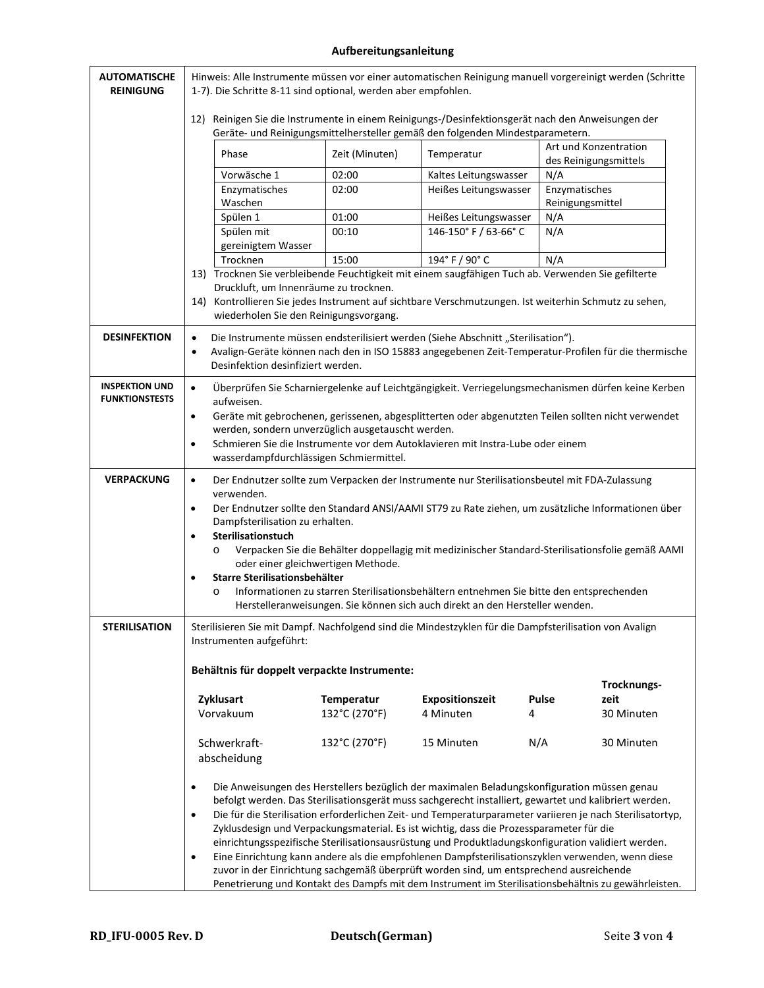## **Aufbereitungsanleitung**

| <b>AUTOMATISCHE</b><br><b>REINIGUNG</b>        | Hinweis: Alle Instrumente müssen vor einer automatischen Reinigung manuell vorgereinigt werden (Schritte<br>1-7). Die Schritte 8-11 sind optional, werden aber empfohlen.             |                                                   |                                                                                                                                                                                                                                                                                                                                                                                                                                                                                                                                                                                                                                                                                                                                                                                                                         |                  |                                                |  |
|------------------------------------------------|---------------------------------------------------------------------------------------------------------------------------------------------------------------------------------------|---------------------------------------------------|-------------------------------------------------------------------------------------------------------------------------------------------------------------------------------------------------------------------------------------------------------------------------------------------------------------------------------------------------------------------------------------------------------------------------------------------------------------------------------------------------------------------------------------------------------------------------------------------------------------------------------------------------------------------------------------------------------------------------------------------------------------------------------------------------------------------------|------------------|------------------------------------------------|--|
|                                                | 12)<br>Reinigen Sie die Instrumente in einem Reinigungs-/Desinfektionsgerät nach den Anweisungen der<br>Geräte- und Reinigungsmittelhersteller gemäß den folgenden Mindestparametern. |                                                   |                                                                                                                                                                                                                                                                                                                                                                                                                                                                                                                                                                                                                                                                                                                                                                                                                         |                  |                                                |  |
|                                                | Phase                                                                                                                                                                                 | Zeit (Minuten)                                    | Temperatur                                                                                                                                                                                                                                                                                                                                                                                                                                                                                                                                                                                                                                                                                                                                                                                                              |                  | Art und Konzentration<br>des Reinigungsmittels |  |
|                                                | Vorwäsche 1                                                                                                                                                                           | 02:00                                             | Kaltes Leitungswasser                                                                                                                                                                                                                                                                                                                                                                                                                                                                                                                                                                                                                                                                                                                                                                                                   | N/A              |                                                |  |
|                                                | Enzymatisches                                                                                                                                                                         | 02:00                                             | Heißes Leitungswasser                                                                                                                                                                                                                                                                                                                                                                                                                                                                                                                                                                                                                                                                                                                                                                                                   | Enzymatisches    |                                                |  |
|                                                | Waschen                                                                                                                                                                               |                                                   |                                                                                                                                                                                                                                                                                                                                                                                                                                                                                                                                                                                                                                                                                                                                                                                                                         | Reinigungsmittel |                                                |  |
|                                                | Spülen 1<br>Spülen mit                                                                                                                                                                | 01:00<br>00:10                                    | Heißes Leitungswasser<br>146-150° F / 63-66° C                                                                                                                                                                                                                                                                                                                                                                                                                                                                                                                                                                                                                                                                                                                                                                          | N/A<br>N/A       |                                                |  |
|                                                | gereinigtem Wasser                                                                                                                                                                    |                                                   |                                                                                                                                                                                                                                                                                                                                                                                                                                                                                                                                                                                                                                                                                                                                                                                                                         |                  |                                                |  |
|                                                | Trocknen                                                                                                                                                                              | 15:00                                             | 194° F / 90° C                                                                                                                                                                                                                                                                                                                                                                                                                                                                                                                                                                                                                                                                                                                                                                                                          | N/A              |                                                |  |
|                                                | 13) Trocknen Sie verbleibende Feuchtigkeit mit einem saugfähigen Tuch ab. Verwenden Sie gefilterte                                                                                    |                                                   |                                                                                                                                                                                                                                                                                                                                                                                                                                                                                                                                                                                                                                                                                                                                                                                                                         |                  |                                                |  |
|                                                | Druckluft, um Innenräume zu trocknen.                                                                                                                                                 |                                                   |                                                                                                                                                                                                                                                                                                                                                                                                                                                                                                                                                                                                                                                                                                                                                                                                                         |                  |                                                |  |
|                                                | 14) Kontrollieren Sie jedes Instrument auf sichtbare Verschmutzungen. Ist weiterhin Schmutz zu sehen,<br>wiederholen Sie den Reinigungsvorgang.                                       |                                                   |                                                                                                                                                                                                                                                                                                                                                                                                                                                                                                                                                                                                                                                                                                                                                                                                                         |                  |                                                |  |
| <b>DESINFEKTION</b>                            | $\bullet$<br>$\bullet$<br>Desinfektion desinfiziert werden.                                                                                                                           |                                                   | Die Instrumente müssen endsterilisiert werden (Siehe Abschnitt "Sterilisation").<br>Avalign-Geräte können nach den in ISO 15883 angegebenen Zeit-Temperatur-Profilen für die thermische                                                                                                                                                                                                                                                                                                                                                                                                                                                                                                                                                                                                                                 |                  |                                                |  |
| <b>INSPEKTION UND</b><br><b>FUNKTIONSTESTS</b> | $\bullet$<br>aufweisen.<br>$\bullet$<br>$\bullet$                                                                                                                                     | werden, sondern unverzüglich ausgetauscht werden. | Überprüfen Sie Scharniergelenke auf Leichtgängigkeit. Verriegelungsmechanismen dürfen keine Kerben<br>Geräte mit gebrochenen, gerissenen, abgesplitterten oder abgenutzten Teilen sollten nicht verwendet<br>Schmieren Sie die Instrumente vor dem Autoklavieren mit Instra-Lube oder einem                                                                                                                                                                                                                                                                                                                                                                                                                                                                                                                             |                  |                                                |  |
|                                                | wasserdampfdurchlässigen Schmiermittel.                                                                                                                                               |                                                   |                                                                                                                                                                                                                                                                                                                                                                                                                                                                                                                                                                                                                                                                                                                                                                                                                         |                  |                                                |  |
| <b>VERPACKUNG</b>                              | $\bullet$<br>verwenden.                                                                                                                                                               |                                                   | Der Endnutzer sollte zum Verpacken der Instrumente nur Sterilisationsbeutel mit FDA-Zulassung                                                                                                                                                                                                                                                                                                                                                                                                                                                                                                                                                                                                                                                                                                                           |                  |                                                |  |
|                                                | $\bullet$                                                                                                                                                                             |                                                   | Der Endnutzer sollte den Standard ANSI/AAMI ST79 zu Rate ziehen, um zusätzliche Informationen über                                                                                                                                                                                                                                                                                                                                                                                                                                                                                                                                                                                                                                                                                                                      |                  |                                                |  |
|                                                | Dampfsterilisation zu erhalten.                                                                                                                                                       |                                                   |                                                                                                                                                                                                                                                                                                                                                                                                                                                                                                                                                                                                                                                                                                                                                                                                                         |                  |                                                |  |
|                                                | Sterilisationstuch<br>$\bullet$<br>Verpacken Sie die Behälter doppellagig mit medizinischer Standard-Sterilisationsfolie gemäß AAMI<br>$\circ$                                        |                                                   |                                                                                                                                                                                                                                                                                                                                                                                                                                                                                                                                                                                                                                                                                                                                                                                                                         |                  |                                                |  |
|                                                |                                                                                                                                                                                       | oder einer gleichwertigen Methode.                |                                                                                                                                                                                                                                                                                                                                                                                                                                                                                                                                                                                                                                                                                                                                                                                                                         |                  |                                                |  |
|                                                | Starre Sterilisationsbehälter<br>$\bullet$                                                                                                                                            |                                                   |                                                                                                                                                                                                                                                                                                                                                                                                                                                                                                                                                                                                                                                                                                                                                                                                                         |                  |                                                |  |
|                                                | Informationen zu starren Sterilisationsbehältern entnehmen Sie bitte den entsprechenden<br>$\circ$<br>Herstelleranweisungen. Sie können sich auch direkt an den Hersteller wenden.    |                                                   |                                                                                                                                                                                                                                                                                                                                                                                                                                                                                                                                                                                                                                                                                                                                                                                                                         |                  |                                                |  |
| STERILISATION                                  | Sterilisieren Sie mit Dampf. Nachfolgend sind die Mindestzyklen für die Dampfsterilisation von Avalign<br>Instrumenten aufgeführt:                                                    |                                                   |                                                                                                                                                                                                                                                                                                                                                                                                                                                                                                                                                                                                                                                                                                                                                                                                                         |                  |                                                |  |
|                                                | Behältnis für doppelt verpackte Instrumente:                                                                                                                                          |                                                   |                                                                                                                                                                                                                                                                                                                                                                                                                                                                                                                                                                                                                                                                                                                                                                                                                         |                  |                                                |  |
|                                                |                                                                                                                                                                                       |                                                   |                                                                                                                                                                                                                                                                                                                                                                                                                                                                                                                                                                                                                                                                                                                                                                                                                         |                  | Trocknungs-                                    |  |
|                                                | Zyklusart                                                                                                                                                                             | Temperatur                                        | Expositionszeit                                                                                                                                                                                                                                                                                                                                                                                                                                                                                                                                                                                                                                                                                                                                                                                                         | <b>Pulse</b>     | zeit                                           |  |
|                                                | Vorvakuum                                                                                                                                                                             | 132°C (270°F)                                     | 4 Minuten                                                                                                                                                                                                                                                                                                                                                                                                                                                                                                                                                                                                                                                                                                                                                                                                               | 4                | 30 Minuten                                     |  |
|                                                | Schwerkraft-                                                                                                                                                                          | 132°C (270°F)                                     | 15 Minuten                                                                                                                                                                                                                                                                                                                                                                                                                                                                                                                                                                                                                                                                                                                                                                                                              | N/A              | 30 Minuten                                     |  |
|                                                | abscheidung                                                                                                                                                                           |                                                   |                                                                                                                                                                                                                                                                                                                                                                                                                                                                                                                                                                                                                                                                                                                                                                                                                         |                  |                                                |  |
|                                                | $\bullet$<br>$\bullet$<br>$\bullet$                                                                                                                                                   |                                                   | Die Anweisungen des Herstellers bezüglich der maximalen Beladungskonfiguration müssen genau<br>befolgt werden. Das Sterilisationsgerät muss sachgerecht installiert, gewartet und kalibriert werden.<br>Die für die Sterilisation erforderlichen Zeit- und Temperaturparameter variieren je nach Sterilisatortyp,<br>Zyklusdesign und Verpackungsmaterial. Es ist wichtig, dass die Prozessparameter für die<br>einrichtungsspezifische Sterilisationsausrüstung und Produktladungskonfiguration validiert werden.<br>Eine Einrichtung kann andere als die empfohlenen Dampfsterilisationszyklen verwenden, wenn diese<br>zuvor in der Einrichtung sachgemäß überprüft worden sind, um entsprechend ausreichende<br>Penetrierung und Kontakt des Dampfs mit dem Instrument im Sterilisationsbehältnis zu gewährleisten. |                  |                                                |  |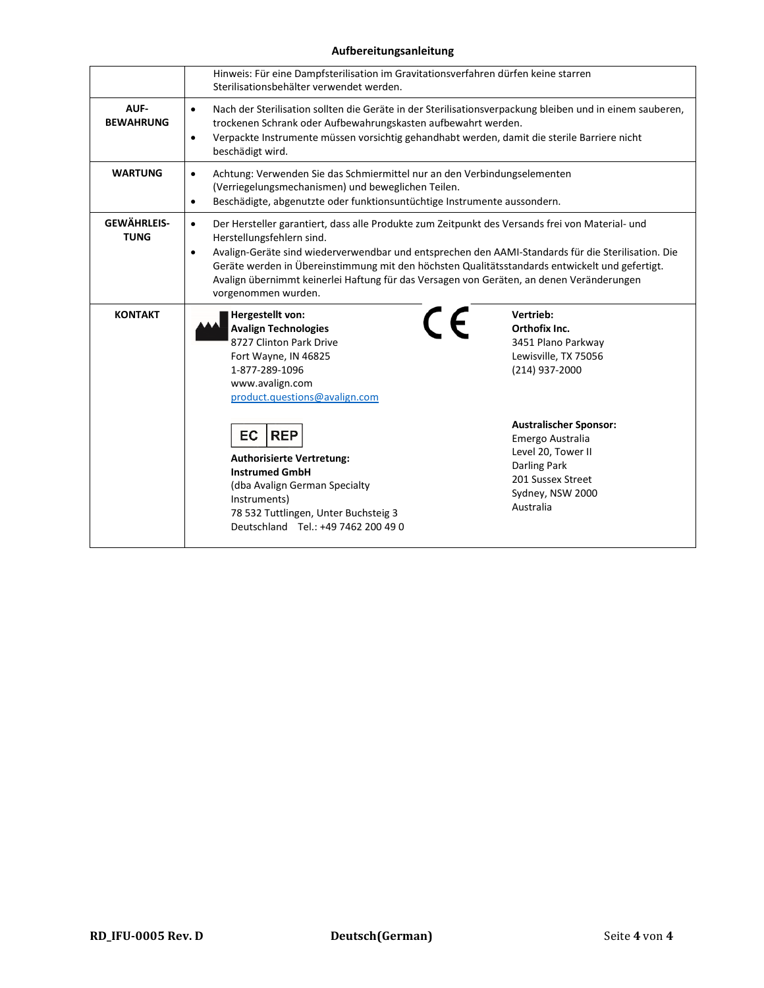## **Aufbereitungsanleitung**

|                                   | Hinweis: Für eine Dampfsterilisation im Gravitationsverfahren dürfen keine starren<br>Sterilisationsbehälter verwendet werden.                                                                                                                                                                                                                                                                                                                                                    |                                                                                                                                   |  |  |
|-----------------------------------|-----------------------------------------------------------------------------------------------------------------------------------------------------------------------------------------------------------------------------------------------------------------------------------------------------------------------------------------------------------------------------------------------------------------------------------------------------------------------------------|-----------------------------------------------------------------------------------------------------------------------------------|--|--|
| AUF-<br><b>BEWAHRUNG</b>          | Nach der Sterilisation sollten die Geräte in der Sterilisationsverpackung bleiben und in einem sauberen,<br>$\bullet$<br>trockenen Schrank oder Aufbewahrungskasten aufbewahrt werden.<br>Verpackte Instrumente müssen vorsichtig gehandhabt werden, damit die sterile Barriere nicht<br>$\bullet$<br>beschädigt wird.                                                                                                                                                            |                                                                                                                                   |  |  |
| <b>WARTUNG</b>                    | Achtung: Verwenden Sie das Schmiermittel nur an den Verbindungselementen<br>$\bullet$<br>(Verriegelungsmechanismen) und beweglichen Teilen.<br>Beschädigte, abgenutzte oder funktionsuntüchtige Instrumente aussondern.<br>$\bullet$                                                                                                                                                                                                                                              |                                                                                                                                   |  |  |
| <b>GEWÄHRLEIS-</b><br><b>TUNG</b> | Der Hersteller garantiert, dass alle Produkte zum Zeitpunkt des Versands frei von Material- und<br>$\bullet$<br>Herstellungsfehlern sind.<br>Avalign-Geräte sind wiederverwendbar und entsprechen den AAMI-Standards für die Sterilisation. Die<br>$\bullet$<br>Geräte werden in Übereinstimmung mit den höchsten Qualitätsstandards entwickelt und gefertigt.<br>Avalign übernimmt keinerlei Haftung für das Versagen von Geräten, an denen Veränderungen<br>vorgenommen wurden. |                                                                                                                                   |  |  |
| <b>KONTAKT</b>                    | Hergestellt von:<br><b>Avalign Technologies</b><br>8727 Clinton Park Drive<br>Fort Wayne, IN 46825<br>1-877-289-1096<br>www.avalign.com<br>product.questions@avalign.com<br><b>EC</b><br><b>REP</b>                                                                                                                                                                                                                                                                               | Vertrieb:<br>CE<br>Orthofix Inc.<br>3451 Plano Parkway<br>Lewisville, TX 75056<br>(214) 937-2000<br><b>Australischer Sponsor:</b> |  |  |
|                                   | <b>Authorisierte Vertretung:</b><br><b>Instrumed GmbH</b><br>(dba Avalign German Specialty<br>Instruments)<br>78 532 Tuttlingen, Unter Buchsteig 3<br>Deutschland Tel.: +49 7462 200 49 0                                                                                                                                                                                                                                                                                         | Emergo Australia<br>Level 20, Tower II<br><b>Darling Park</b><br>201 Sussex Street<br>Sydney, NSW 2000<br>Australia               |  |  |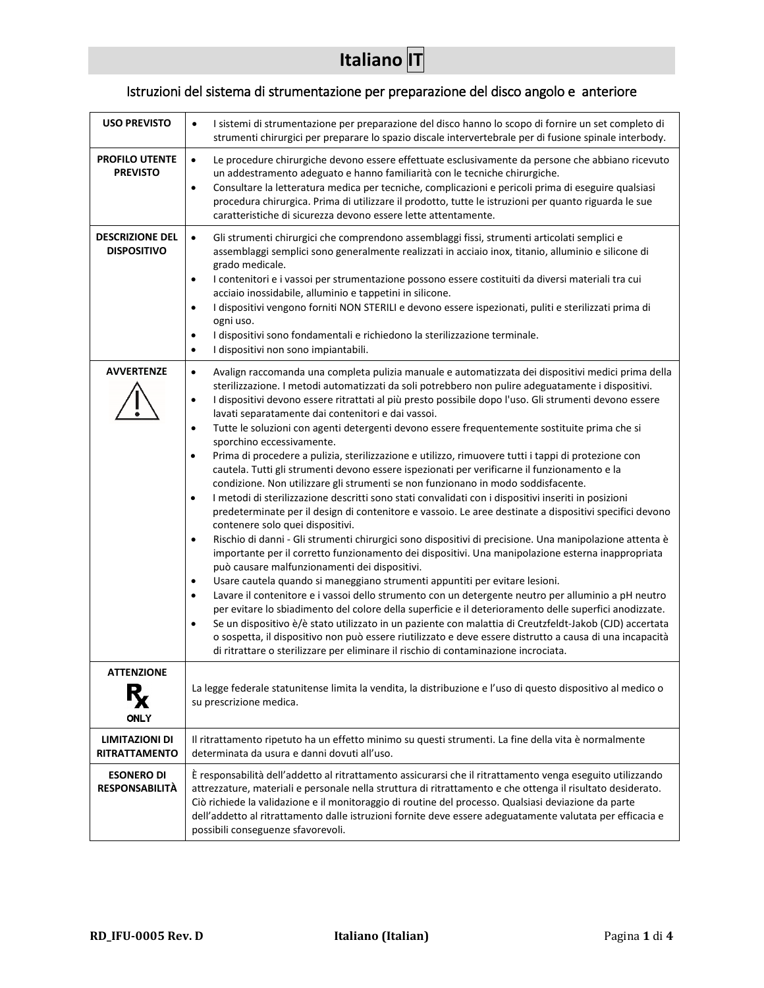## Istruzioni del sistema di strumentazione per preparazione del disco angolo e anteriore

<span id="page-12-0"></span>

| <b>USO PREVISTO</b>                          | I sistemi di strumentazione per preparazione del disco hanno lo scopo di fornire un set completo di<br>$\bullet$<br>strumenti chirurgici per preparare lo spazio discale intervertebrale per di fusione spinale interbody.                                                                                                                                                                                                                                                                                                                                                                                                                                                                                                                                                                                                                                                                                                                                                                                                                                                                                                                                                                                                                                                                                                                                                                                                                                                                                                                                                                                                                                                                                                                                                                                                                                                                                                                                                                                                                            |
|----------------------------------------------|-------------------------------------------------------------------------------------------------------------------------------------------------------------------------------------------------------------------------------------------------------------------------------------------------------------------------------------------------------------------------------------------------------------------------------------------------------------------------------------------------------------------------------------------------------------------------------------------------------------------------------------------------------------------------------------------------------------------------------------------------------------------------------------------------------------------------------------------------------------------------------------------------------------------------------------------------------------------------------------------------------------------------------------------------------------------------------------------------------------------------------------------------------------------------------------------------------------------------------------------------------------------------------------------------------------------------------------------------------------------------------------------------------------------------------------------------------------------------------------------------------------------------------------------------------------------------------------------------------------------------------------------------------------------------------------------------------------------------------------------------------------------------------------------------------------------------------------------------------------------------------------------------------------------------------------------------------------------------------------------------------------------------------------------------------|
| <b>PROFILO UTENTE</b><br><b>PREVISTO</b>     | Le procedure chirurgiche devono essere effettuate esclusivamente da persone che abbiano ricevuto<br>$\bullet$<br>un addestramento adeguato e hanno familiarità con le tecniche chirurgiche.<br>Consultare la letteratura medica per tecniche, complicazioni e pericoli prima di eseguire qualsiasi<br>$\bullet$<br>procedura chirurgica. Prima di utilizzare il prodotto, tutte le istruzioni per quanto riguarda le sue<br>caratteristiche di sicurezza devono essere lette attentamente.                                                                                                                                                                                                                                                                                                                                                                                                                                                                                                                                                                                                                                                                                                                                                                                                                                                                                                                                                                                                                                                                                                                                                                                                                                                                                                                                                                                                                                                                                                                                                            |
| <b>DESCRIZIONE DEL</b><br><b>DISPOSITIVO</b> | $\bullet$<br>Gli strumenti chirurgici che comprendono assemblaggi fissi, strumenti articolati semplici e<br>assemblaggi semplici sono generalmente realizzati in acciaio inox, titanio, alluminio e silicone di<br>grado medicale.<br>I contenitori e i vassoi per strumentazione possono essere costituiti da diversi materiali tra cui<br>$\bullet$<br>acciaio inossidabile, alluminio e tappetini in silicone.<br>I dispositivi vengono forniti NON STERILI e devono essere ispezionati, puliti e sterilizzati prima di<br>$\bullet$<br>ogni uso.<br>I dispositivi sono fondamentali e richiedono la sterilizzazione terminale.<br>$\bullet$<br>I dispositivi non sono impiantabili.<br>$\bullet$                                                                                                                                                                                                                                                                                                                                                                                                                                                                                                                                                                                                                                                                                                                                                                                                                                                                                                                                                                                                                                                                                                                                                                                                                                                                                                                                                  |
| <b>AVVERTENZE</b>                            | Avalign raccomanda una completa pulizia manuale e automatizzata dei dispositivi medici prima della<br>$\bullet$<br>sterilizzazione. I metodi automatizzati da soli potrebbero non pulire adeguatamente i dispositivi.<br>I dispositivi devono essere ritrattati al più presto possibile dopo l'uso. Gli strumenti devono essere<br>$\bullet$<br>lavati separatamente dai contenitori e dai vassoi.<br>Tutte le soluzioni con agenti detergenti devono essere frequentemente sostituite prima che si<br>$\bullet$<br>sporchino eccessivamente.<br>Prima di procedere a pulizia, sterilizzazione e utilizzo, rimuovere tutti i tappi di protezione con<br>٠<br>cautela. Tutti gli strumenti devono essere ispezionati per verificarne il funzionamento e la<br>condizione. Non utilizzare gli strumenti se non funzionano in modo soddisfacente.<br>I metodi di sterilizzazione descritti sono stati convalidati con i dispositivi inseriti in posizioni<br>$\bullet$<br>predeterminate per il design di contenitore e vassoio. Le aree destinate a dispositivi specifici devono<br>contenere solo quei dispositivi.<br>Rischio di danni - Gli strumenti chirurgici sono dispositivi di precisione. Una manipolazione attenta è<br>$\bullet$<br>importante per il corretto funzionamento dei dispositivi. Una manipolazione esterna inappropriata<br>può causare malfunzionamenti dei dispositivi.<br>Usare cautela quando si maneggiano strumenti appuntiti per evitare lesioni.<br>$\bullet$<br>Lavare il contenitore e i vassoi dello strumento con un detergente neutro per alluminio a pH neutro<br>$\bullet$<br>per evitare lo sbiadimento del colore della superficie e il deterioramento delle superfici anodizzate.<br>Se un dispositivo è/è stato utilizzato in un paziente con malattia di Creutzfeldt-Jakob (CJD) accertata<br>$\bullet$<br>o sospetta, il dispositivo non può essere riutilizzato e deve essere distrutto a causa di una incapacità<br>di ritrattare o sterilizzare per eliminare il rischio di contaminazione incrociata. |
| <b>ATTENZIONE</b><br>ONLY                    | La legge federale statunitense limita la vendita, la distribuzione e l'uso di questo dispositivo al medico o<br>su prescrizione medica.                                                                                                                                                                                                                                                                                                                                                                                                                                                                                                                                                                                                                                                                                                                                                                                                                                                                                                                                                                                                                                                                                                                                                                                                                                                                                                                                                                                                                                                                                                                                                                                                                                                                                                                                                                                                                                                                                                               |
| LIMITAZIONI DI<br><b>RITRATTAMENTO</b>       | Il ritrattamento ripetuto ha un effetto minimo su questi strumenti. La fine della vita è normalmente<br>determinata da usura e danni dovuti all'uso.                                                                                                                                                                                                                                                                                                                                                                                                                                                                                                                                                                                                                                                                                                                                                                                                                                                                                                                                                                                                                                                                                                                                                                                                                                                                                                                                                                                                                                                                                                                                                                                                                                                                                                                                                                                                                                                                                                  |
| <b>ESONERO DI</b><br><b>RESPONSABILITÀ</b>   | È responsabilità dell'addetto al ritrattamento assicurarsi che il ritrattamento venga eseguito utilizzando<br>attrezzature, materiali e personale nella struttura di ritrattamento e che ottenga il risultato desiderato.<br>Ciò richiede la validazione e il monitoraggio di routine del processo. Qualsiasi deviazione da parte<br>dell'addetto al ritrattamento dalle istruzioni fornite deve essere adeguatamente valutata per efficacia e<br>possibili conseguenze sfavorevoli.                                                                                                                                                                                                                                                                                                                                                                                                                                                                                                                                                                                                                                                                                                                                                                                                                                                                                                                                                                                                                                                                                                                                                                                                                                                                                                                                                                                                                                                                                                                                                                  |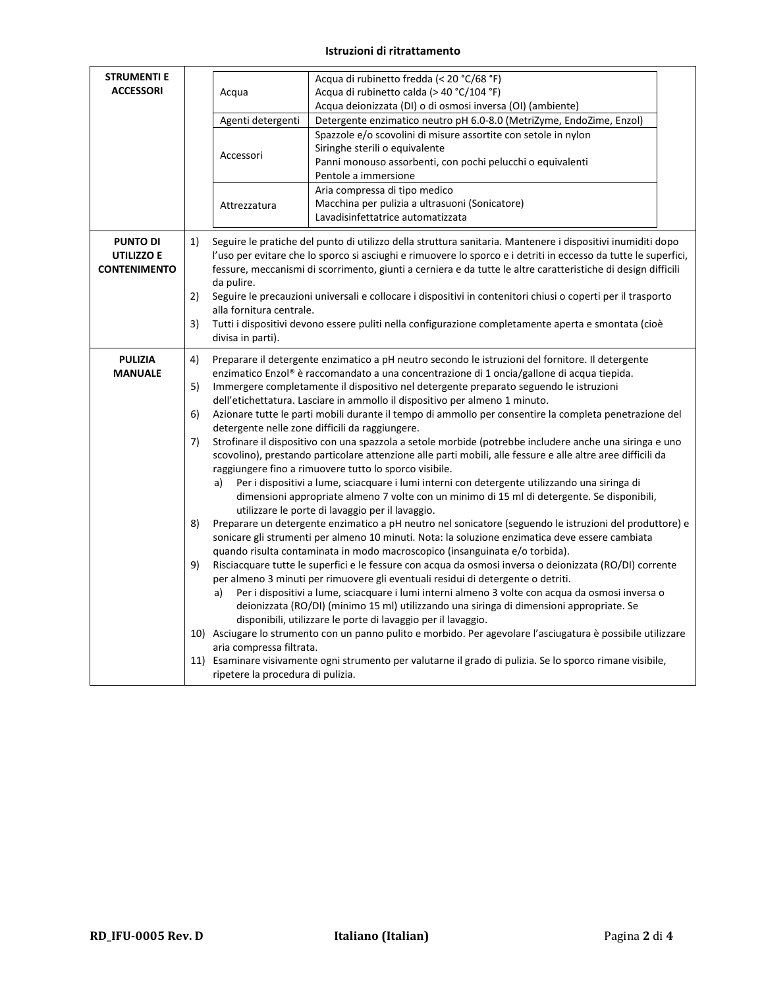### **Istruzioni di ritrattamento**

| <b>STRUMENTI E</b><br><b>ACCESSORI</b>               |                                  | Acqua di rubinetto fredda (< 20 °C/68 °F)<br>Acqua di rubinetto calda (> 40 °C/104 °F)<br>Acqua<br>Acqua deionizzata (DI) o di osmosi inversa (OI) (ambiente)<br>Agenti detergenti<br>Detergente enzimatico neutro pH 6.0-8.0 (MetriZyme, EndoZime, Enzol)<br>Spazzole e/o scovolini di misure assortite con setole in nylon<br>Siringhe sterili o equivalente<br>Accessori<br>Panni monouso assorbenti, con pochi pelucchi o equivalenti<br>Pentole a immersione<br>Aria compressa di tipo medico |                                                                                                                                                                                                                                                                                                                                                                                                                                                                                                                                                                                                                                                                                                                                                                                                                                                                                                                                                                                                                                                                                                                                                                                                                                                                                                                                                                                                                                                                                                                                                                                                                                                                                                                                                                                                                                                                                                                                                                                                                                                                         |  |
|------------------------------------------------------|----------------------------------|----------------------------------------------------------------------------------------------------------------------------------------------------------------------------------------------------------------------------------------------------------------------------------------------------------------------------------------------------------------------------------------------------------------------------------------------------------------------------------------------------|-------------------------------------------------------------------------------------------------------------------------------------------------------------------------------------------------------------------------------------------------------------------------------------------------------------------------------------------------------------------------------------------------------------------------------------------------------------------------------------------------------------------------------------------------------------------------------------------------------------------------------------------------------------------------------------------------------------------------------------------------------------------------------------------------------------------------------------------------------------------------------------------------------------------------------------------------------------------------------------------------------------------------------------------------------------------------------------------------------------------------------------------------------------------------------------------------------------------------------------------------------------------------------------------------------------------------------------------------------------------------------------------------------------------------------------------------------------------------------------------------------------------------------------------------------------------------------------------------------------------------------------------------------------------------------------------------------------------------------------------------------------------------------------------------------------------------------------------------------------------------------------------------------------------------------------------------------------------------------------------------------------------------------------------------------------------------|--|
|                                                      |                                  | Attrezzatura                                                                                                                                                                                                                                                                                                                                                                                                                                                                                       | Macchina per pulizia a ultrasuoni (Sonicatore)<br>Lavadisinfettatrice automatizzata                                                                                                                                                                                                                                                                                                                                                                                                                                                                                                                                                                                                                                                                                                                                                                                                                                                                                                                                                                                                                                                                                                                                                                                                                                                                                                                                                                                                                                                                                                                                                                                                                                                                                                                                                                                                                                                                                                                                                                                     |  |
| <b>PUNTO DI</b><br>UTILIZZO E<br><b>CONTENIMENTO</b> | 1)<br>2)<br>3)                   | da pulire.<br>alla fornitura centrale.<br>divisa in parti).                                                                                                                                                                                                                                                                                                                                                                                                                                        | Seguire le pratiche del punto di utilizzo della struttura sanitaria. Mantenere i dispositivi inumiditi dopo<br>l'uso per evitare che lo sporco si asciughi e rimuovere lo sporco e i detriti in eccesso da tutte le superfici,<br>fessure, meccanismi di scorrimento, giunti a cerniera e da tutte le altre caratteristiche di design difficili<br>Seguire le precauzioni universali e collocare i dispositivi in contenitori chiusi o coperti per il trasporto<br>Tutti i dispositivi devono essere puliti nella configurazione completamente aperta e smontata (cioè                                                                                                                                                                                                                                                                                                                                                                                                                                                                                                                                                                                                                                                                                                                                                                                                                                                                                                                                                                                                                                                                                                                                                                                                                                                                                                                                                                                                                                                                                                  |  |
| <b>PULIZIA</b><br><b>MANUALE</b>                     | 4)<br>5)<br>6)<br>7)<br>8)<br>9) | a)<br>a)<br>aria compressa filtrata.<br>ripetere la procedura di pulizia.                                                                                                                                                                                                                                                                                                                                                                                                                          | Preparare il detergente enzimatico a pH neutro secondo le istruzioni del fornitore. Il detergente<br>enzimatico Enzol® è raccomandato a una concentrazione di 1 oncia/gallone di acqua tiepida.<br>Immergere completamente il dispositivo nel detergente preparato seguendo le istruzioni<br>dell'etichettatura. Lasciare in ammollo il dispositivo per almeno 1 minuto.<br>Azionare tutte le parti mobili durante il tempo di ammollo per consentire la completa penetrazione del<br>detergente nelle zone difficili da raggiungere.<br>Strofinare il dispositivo con una spazzola a setole morbide (potrebbe includere anche una siringa e uno<br>scovolino), prestando particolare attenzione alle parti mobili, alle fessure e alle altre aree difficili da<br>raggiungere fino a rimuovere tutto lo sporco visibile.<br>Per i dispositivi a lume, sciacquare i lumi interni con detergente utilizzando una siringa di<br>dimensioni appropriate almeno 7 volte con un minimo di 15 ml di detergente. Se disponibili,<br>utilizzare le porte di lavaggio per il lavaggio.<br>Preparare un detergente enzimatico a pH neutro nel sonicatore (seguendo le istruzioni del produttore) e<br>sonicare gli strumenti per almeno 10 minuti. Nota: la soluzione enzimatica deve essere cambiata<br>quando risulta contaminata in modo macroscopico (insanguinata e/o torbida).<br>Risciacquare tutte le superfici e le fessure con acqua da osmosi inversa o deionizzata (RO/DI) corrente<br>per almeno 3 minuti per rimuovere gli eventuali residui di detergente o detriti.<br>Per i dispositivi a lume, sciacquare i lumi interni almeno 3 volte con acqua da osmosi inversa o<br>deionizzata (RO/DI) (minimo 15 ml) utilizzando una siringa di dimensioni appropriate. Se<br>disponibili, utilizzare le porte di lavaggio per il lavaggio.<br>10) Asciugare lo strumento con un panno pulito e morbido. Per agevolare l'asciugatura è possibile utilizzare<br>11) Esaminare visivamente ogni strumento per valutarne il grado di pulizia. Se lo sporco rimane visibile, |  |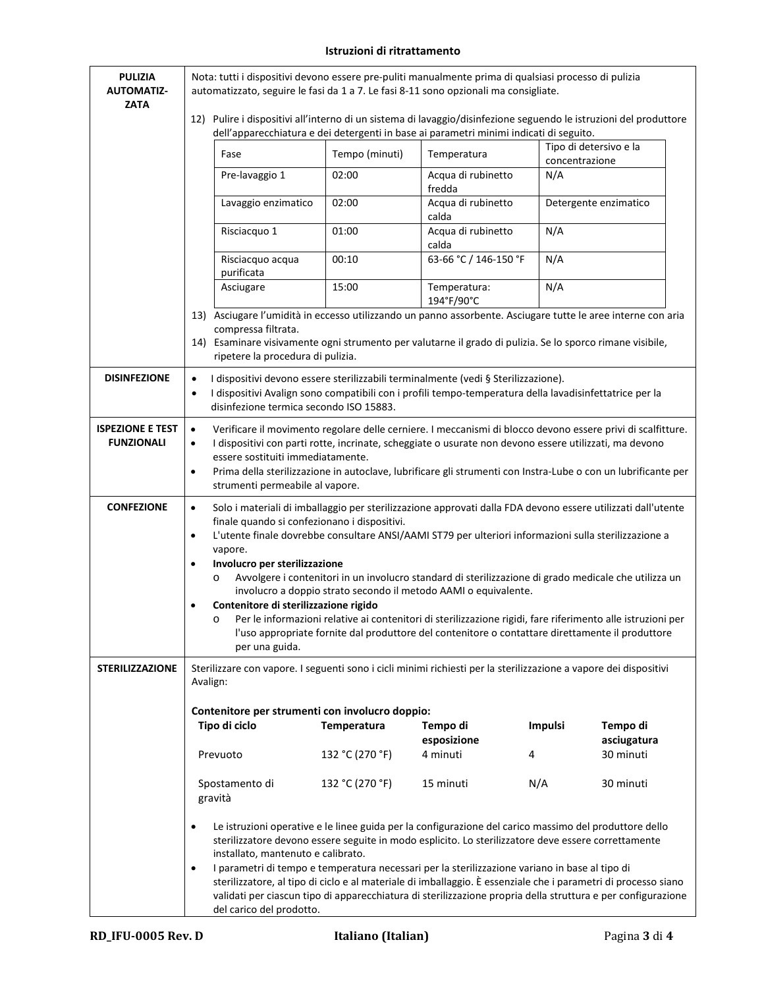## **Istruzioni di ritrattamento**

| <b>PULIZIA</b><br><b>AUTOMATIZ-</b>          | Nota: tutti i dispositivi devono essere pre-puliti manualmente prima di qualsiasi processo di pulizia<br>automatizzato, seguire le fasi da 1 a 7. Le fasi 8-11 sono opzionali ma consigliate.                                                                                                                                                                                                                                                                                                                                                                                                                                                                                                                                                                                                                                            |                 |                                                                                                                                                                                               |                |                          |  |
|----------------------------------------------|------------------------------------------------------------------------------------------------------------------------------------------------------------------------------------------------------------------------------------------------------------------------------------------------------------------------------------------------------------------------------------------------------------------------------------------------------------------------------------------------------------------------------------------------------------------------------------------------------------------------------------------------------------------------------------------------------------------------------------------------------------------------------------------------------------------------------------------|-----------------|-----------------------------------------------------------------------------------------------------------------------------------------------------------------------------------------------|----------------|--------------------------|--|
| <b>ZATA</b>                                  | 12) Pulire i dispositivi all'interno di un sistema di lavaggio/disinfezione seguendo le istruzioni del produttore                                                                                                                                                                                                                                                                                                                                                                                                                                                                                                                                                                                                                                                                                                                        |                 | dell'apparecchiatura e dei detergenti in base ai parametri minimi indicati di seguito.                                                                                                        |                |                          |  |
|                                              | Fase                                                                                                                                                                                                                                                                                                                                                                                                                                                                                                                                                                                                                                                                                                                                                                                                                                     | Tempo (minuti)  | Temperatura                                                                                                                                                                                   | concentrazione | Tipo di detersivo e la   |  |
|                                              | Pre-lavaggio 1                                                                                                                                                                                                                                                                                                                                                                                                                                                                                                                                                                                                                                                                                                                                                                                                                           | 02:00           | Acqua di rubinetto<br>fredda                                                                                                                                                                  | N/A            |                          |  |
|                                              | Lavaggio enzimatico                                                                                                                                                                                                                                                                                                                                                                                                                                                                                                                                                                                                                                                                                                                                                                                                                      | 02:00           | Acqua di rubinetto<br>calda                                                                                                                                                                   |                | Detergente enzimatico    |  |
|                                              | Risciacquo 1                                                                                                                                                                                                                                                                                                                                                                                                                                                                                                                                                                                                                                                                                                                                                                                                                             | 01:00           | Acqua di rubinetto<br>calda                                                                                                                                                                   | N/A            |                          |  |
|                                              | Risciacquo acqua<br>purificata                                                                                                                                                                                                                                                                                                                                                                                                                                                                                                                                                                                                                                                                                                                                                                                                           | 00:10           | 63-66 °C / 146-150 °F                                                                                                                                                                         | N/A            |                          |  |
|                                              | Asciugare                                                                                                                                                                                                                                                                                                                                                                                                                                                                                                                                                                                                                                                                                                                                                                                                                                | 15:00           | Temperatura:<br>194°F/90°C                                                                                                                                                                    | N/A            |                          |  |
|                                              | 13) Asciugare l'umidità in eccesso utilizzando un panno assorbente. Asciugare tutte le aree interne con aria<br>compressa filtrata.                                                                                                                                                                                                                                                                                                                                                                                                                                                                                                                                                                                                                                                                                                      |                 |                                                                                                                                                                                               |                |                          |  |
|                                              | 14) Esaminare visivamente ogni strumento per valutarne il grado di pulizia. Se lo sporco rimane visibile,<br>ripetere la procedura di pulizia.                                                                                                                                                                                                                                                                                                                                                                                                                                                                                                                                                                                                                                                                                           |                 |                                                                                                                                                                                               |                |                          |  |
| <b>DISINFEZIONE</b>                          | $\bullet$<br>$\bullet$<br>disinfezione termica secondo ISO 15883.                                                                                                                                                                                                                                                                                                                                                                                                                                                                                                                                                                                                                                                                                                                                                                        |                 | I dispositivi devono essere sterilizzabili terminalmente (vedi § Sterilizzazione).<br>I dispositivi Avalign sono compatibili con i profili tempo-temperatura della lavadisinfettatrice per la |                |                          |  |
| <b>ISPEZIONE E TEST</b><br><b>FUNZIONALI</b> | Verificare il movimento regolare delle cerniere. I meccanismi di blocco devono essere privi di scalfitture.<br>$\bullet$<br>I dispositivi con parti rotte, incrinate, scheggiate o usurate non devono essere utilizzati, ma devono<br>$\bullet$<br>essere sostituiti immediatamente.<br>Prima della sterilizzazione in autoclave, lubrificare gli strumenti con Instra-Lube o con un lubrificante per<br>$\bullet$<br>strumenti permeabile al vapore.                                                                                                                                                                                                                                                                                                                                                                                    |                 |                                                                                                                                                                                               |                |                          |  |
| <b>CONFEZIONE</b>                            | Solo i materiali di imballaggio per sterilizzazione approvati dalla FDA devono essere utilizzati dall'utente<br>$\bullet$<br>finale quando si confezionano i dispositivi.<br>L'utente finale dovrebbe consultare ANSI/AAMI ST79 per ulteriori informazioni sulla sterilizzazione a<br>$\bullet$<br>vapore.<br>Involucro per sterilizzazione<br>$\bullet$<br>Avvolgere i contenitori in un involucro standard di sterilizzazione di grado medicale che utilizza un<br>$\circ$<br>involucro a doppio strato secondo il metodo AAMI o equivalente.<br>Contenitore di sterilizzazione rigido<br>Per le informazioni relative ai contenitori di sterilizzazione rigidi, fare riferimento alle istruzioni per<br>$\circ$<br>l'uso appropriate fornite dal produttore del contenitore o contattare direttamente il produttore<br>per una guida. |                 |                                                                                                                                                                                               |                |                          |  |
| <b>STERILIZZAZIONE</b>                       | Sterilizzare con vapore. I seguenti sono i cicli minimi richiesti per la sterilizzazione a vapore dei dispositivi<br>Avalign:                                                                                                                                                                                                                                                                                                                                                                                                                                                                                                                                                                                                                                                                                                            |                 |                                                                                                                                                                                               |                |                          |  |
|                                              | Contenitore per strumenti con involucro doppio:<br>Tipo di ciclo                                                                                                                                                                                                                                                                                                                                                                                                                                                                                                                                                                                                                                                                                                                                                                         | Temperatura     | Tempo di                                                                                                                                                                                      | <b>Impulsi</b> | Tempo di                 |  |
|                                              | Prevuoto                                                                                                                                                                                                                                                                                                                                                                                                                                                                                                                                                                                                                                                                                                                                                                                                                                 | 132 °C (270 °F) | esposizione<br>4 minuti                                                                                                                                                                       | 4              | asciugatura<br>30 minuti |  |
|                                              | Spostamento di                                                                                                                                                                                                                                                                                                                                                                                                                                                                                                                                                                                                                                                                                                                                                                                                                           | 132 °C (270 °F) | 15 minuti                                                                                                                                                                                     | N/A            | 30 minuti                |  |
|                                              | gravità                                                                                                                                                                                                                                                                                                                                                                                                                                                                                                                                                                                                                                                                                                                                                                                                                                  |                 |                                                                                                                                                                                               |                |                          |  |
|                                              | Le istruzioni operative e le linee guida per la configurazione del carico massimo del produttore dello<br>$\bullet$<br>sterilizzatore devono essere seguite in modo esplicito. Lo sterilizzatore deve essere correttamente<br>installato, mantenuto e calibrato.<br>I parametri di tempo e temperatura necessari per la sterilizzazione variano in base al tipo di<br>$\bullet$<br>sterilizzatore, al tipo di ciclo e al materiale di imballaggio. È essenziale che i parametri di processo siano<br>validati per ciascun tipo di apparecchiatura di sterilizzazione propria della struttura e per configurazione<br>del carico del prodotto.                                                                                                                                                                                            |                 |                                                                                                                                                                                               |                |                          |  |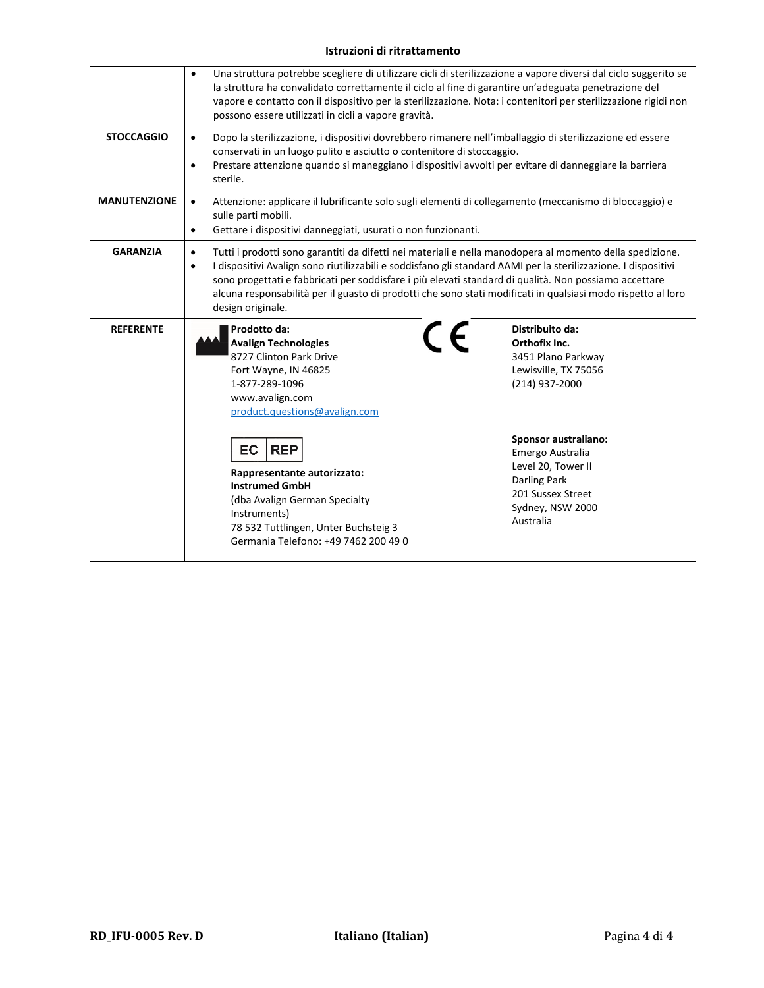#### **Istruzioni di ritrattamento**

|                     | Una struttura potrebbe scegliere di utilizzare cicli di sterilizzazione a vapore diversi dal ciclo suggerito se<br>$\bullet$<br>la struttura ha convalidato correttamente il ciclo al fine di garantire un'adeguata penetrazione del<br>vapore e contatto con il dispositivo per la sterilizzazione. Nota: i contenitori per sterilizzazione rigidi non<br>possono essere utilizzati in cicli a vapore gravità.                                                                                    |                                                                                                                                                                                                                                                       |  |  |  |
|---------------------|----------------------------------------------------------------------------------------------------------------------------------------------------------------------------------------------------------------------------------------------------------------------------------------------------------------------------------------------------------------------------------------------------------------------------------------------------------------------------------------------------|-------------------------------------------------------------------------------------------------------------------------------------------------------------------------------------------------------------------------------------------------------|--|--|--|
| <b>STOCCAGGIO</b>   | Dopo la sterilizzazione, i dispositivi dovrebbero rimanere nell'imballaggio di sterilizzazione ed essere<br>$\bullet$<br>conservati in un luogo pulito e asciutto o contenitore di stoccaggio.<br>Prestare attenzione quando si maneggiano i dispositivi avvolti per evitare di danneggiare la barriera<br>$\bullet$<br>sterile.                                                                                                                                                                   |                                                                                                                                                                                                                                                       |  |  |  |
| <b>MANUTENZIONE</b> | Attenzione: applicare il lubrificante solo sugli elementi di collegamento (meccanismo di bloccaggio) e<br>sulle parti mobili.<br>Gettare i dispositivi danneggiati, usurati o non funzionanti.<br>$\bullet$                                                                                                                                                                                                                                                                                        |                                                                                                                                                                                                                                                       |  |  |  |
| <b>GARANZIA</b>     | Tutti i prodotti sono garantiti da difetti nei materiali e nella manodopera al momento della spedizione.<br>$\bullet$<br>I dispositivi Avalign sono riutilizzabili e soddisfano gli standard AAMI per la sterilizzazione. I dispositivi<br>$\bullet$<br>sono progettati e fabbricati per soddisfare i più elevati standard di qualità. Non possiamo accettare<br>alcuna responsabilità per il guasto di prodotti che sono stati modificati in qualsiasi modo rispetto al loro<br>design originale. |                                                                                                                                                                                                                                                       |  |  |  |
| <b>REFERENTE</b>    | Prodotto da:<br><b>Avalign Technologies</b><br>8727 Clinton Park Drive<br>Fort Wayne, IN 46825<br>1-877-289-1096<br>www.avalign.com<br>product.questions@avalign.com<br>EC<br><b>REP</b><br>Rappresentante autorizzato:<br><b>Instrumed GmbH</b><br>(dba Avalign German Specialty<br>Instruments)<br>78 532 Tuttlingen, Unter Buchsteig 3<br>Germania Telefono: +49 7462 200 49 0                                                                                                                  | Distribuito da:<br>(E<br>Orthofix Inc.<br>3451 Plano Parkway<br>Lewisville, TX 75056<br>(214) 937-2000<br>Sponsor australiano:<br>Emergo Australia<br>Level 20, Tower II<br><b>Darling Park</b><br>201 Sussex Street<br>Sydney, NSW 2000<br>Australia |  |  |  |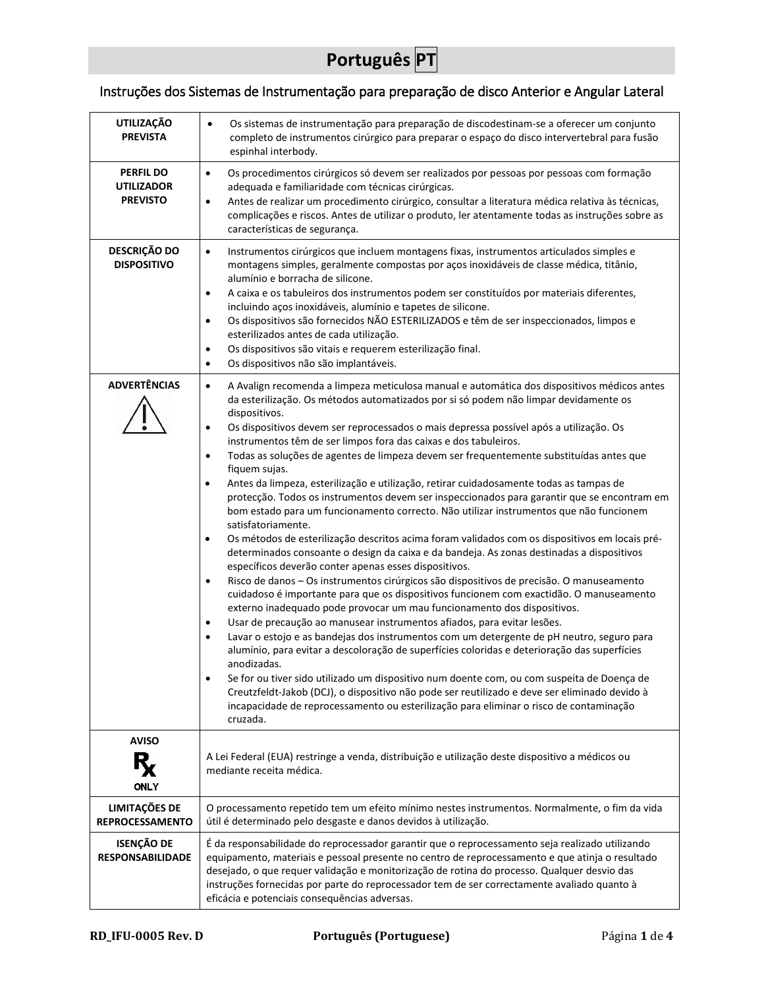## **Português PT**

## <span id="page-16-0"></span>Instruções dos Sistemas de Instrumentação para preparação de disco Anterior e Angular Lateral

| <b>UTILIZAÇÃO</b><br><b>PREVISTA</b>                     | Os sistemas de instrumentação para preparação de discodestinam-se a oferecer um conjunto<br>$\bullet$<br>completo de instrumentos cirúrgico para preparar o espaço do disco intervertebral para fusão<br>espinhal interbody.                                                                                                                                                                                                                                                                                                                                                                                                                                                                                                                                                                                                                                                                                                                                                                                                                                                                                                                                                                                                                                                                                                                                                                                                                                                                                                                                                                                                                                                                                                                                                                                                                                                                                                                                                                                                        |
|----------------------------------------------------------|-------------------------------------------------------------------------------------------------------------------------------------------------------------------------------------------------------------------------------------------------------------------------------------------------------------------------------------------------------------------------------------------------------------------------------------------------------------------------------------------------------------------------------------------------------------------------------------------------------------------------------------------------------------------------------------------------------------------------------------------------------------------------------------------------------------------------------------------------------------------------------------------------------------------------------------------------------------------------------------------------------------------------------------------------------------------------------------------------------------------------------------------------------------------------------------------------------------------------------------------------------------------------------------------------------------------------------------------------------------------------------------------------------------------------------------------------------------------------------------------------------------------------------------------------------------------------------------------------------------------------------------------------------------------------------------------------------------------------------------------------------------------------------------------------------------------------------------------------------------------------------------------------------------------------------------------------------------------------------------------------------------------------------------|
| <b>PERFIL DO</b><br><b>UTILIZADOR</b><br><b>PREVISTO</b> | Os procedimentos cirúrgicos só devem ser realizados por pessoas por pessoas com formação<br>$\bullet$<br>adequada e familiaridade com técnicas cirúrgicas.<br>Antes de realizar um procedimento cirúrgico, consultar a literatura médica relativa às técnicas,<br>$\bullet$<br>complicações e riscos. Antes de utilizar o produto, ler atentamente todas as instruções sobre as<br>características de segurança.                                                                                                                                                                                                                                                                                                                                                                                                                                                                                                                                                                                                                                                                                                                                                                                                                                                                                                                                                                                                                                                                                                                                                                                                                                                                                                                                                                                                                                                                                                                                                                                                                    |
| <b>DESCRIÇÃO DO</b><br><b>DISPOSITIVO</b>                | Instrumentos cirúrgicos que incluem montagens fixas, instrumentos articulados simples e<br>$\bullet$<br>montagens simples, geralmente compostas por aços inoxidáveis de classe médica, titânio,<br>alumínio e borracha de silicone.<br>A caixa e os tabuleiros dos instrumentos podem ser constituídos por materiais diferentes,<br>$\bullet$<br>incluindo aços inoxidáveis, alumínio e tapetes de silicone.<br>Os dispositivos são fornecidos NÃO ESTERILIZADOS e têm de ser inspeccionados, limpos e<br>$\bullet$<br>esterilizados antes de cada utilização.<br>Os dispositivos são vitais e requerem esterilização final.<br>$\bullet$<br>Os dispositivos não são implantáveis.<br>$\bullet$                                                                                                                                                                                                                                                                                                                                                                                                                                                                                                                                                                                                                                                                                                                                                                                                                                                                                                                                                                                                                                                                                                                                                                                                                                                                                                                                     |
| <b>ADVERTÊNCIAS</b>                                      | A Avalign recomenda a limpeza meticulosa manual e automática dos dispositivos médicos antes<br>$\bullet$<br>da esterilização. Os métodos automatizados por si só podem não limpar devidamente os<br>dispositivos.<br>Os dispositivos devem ser reprocessados o mais depressa possível após a utilização. Os<br>$\bullet$<br>instrumentos têm de ser limpos fora das caixas e dos tabuleiros.<br>Todas as soluções de agentes de limpeza devem ser frequentemente substituídas antes que<br>$\bullet$<br>fiquem sujas.<br>Antes da limpeza, esterilização e utilização, retirar cuidadosamente todas as tampas de<br>$\bullet$<br>protecção. Todos os instrumentos devem ser inspeccionados para garantir que se encontram em<br>bom estado para um funcionamento correcto. Não utilizar instrumentos que não funcionem<br>satisfatoriamente.<br>Os métodos de esterilização descritos acima foram validados com os dispositivos em locais pré-<br>$\bullet$<br>determinados consoante o design da caixa e da bandeja. As zonas destinadas a dispositivos<br>específicos deverão conter apenas esses dispositivos.<br>Risco de danos - Os instrumentos cirúrgicos são dispositivos de precisão. O manuseamento<br>$\bullet$<br>cuidadoso é importante para que os dispositivos funcionem com exactidão. O manuseamento<br>externo inadequado pode provocar um mau funcionamento dos dispositivos.<br>Usar de precaução ao manusear instrumentos afiados, para evitar lesões.<br>$\bullet$<br>Lavar o estojo e as bandejas dos instrumentos com um detergente de pH neutro, seguro para<br>$\bullet$<br>alumínio, para evitar a descoloração de superfícies coloridas e deterioração das superfícies<br>anodizadas.<br>Se for ou tiver sido utilizado um dispositivo num doente com, ou com suspeita de Doença de<br>$\bullet$<br>Creutzfeldt-Jakob (DCJ), o dispositivo não pode ser reutilizado e deve ser eliminado devido à<br>incapacidade de reprocessamento ou esterilização para eliminar o risco de contaminação<br>cruzada. |
| <b>AVISO</b>                                             | A Lei Federal (EUA) restringe a venda, distribuição e utilização deste dispositivo a médicos ou                                                                                                                                                                                                                                                                                                                                                                                                                                                                                                                                                                                                                                                                                                                                                                                                                                                                                                                                                                                                                                                                                                                                                                                                                                                                                                                                                                                                                                                                                                                                                                                                                                                                                                                                                                                                                                                                                                                                     |
| ONLY                                                     | mediante receita médica.                                                                                                                                                                                                                                                                                                                                                                                                                                                                                                                                                                                                                                                                                                                                                                                                                                                                                                                                                                                                                                                                                                                                                                                                                                                                                                                                                                                                                                                                                                                                                                                                                                                                                                                                                                                                                                                                                                                                                                                                            |
| LIMITAÇÕES DE<br><b>REPROCESSAMENTO</b>                  | O processamento repetido tem um efeito mínimo nestes instrumentos. Normalmente, o fim da vida<br>útil é determinado pelo desgaste e danos devidos à utilização.                                                                                                                                                                                                                                                                                                                                                                                                                                                                                                                                                                                                                                                                                                                                                                                                                                                                                                                                                                                                                                                                                                                                                                                                                                                                                                                                                                                                                                                                                                                                                                                                                                                                                                                                                                                                                                                                     |
| <b>ISENÇÃO DE</b><br><b>RESPONSABILIDADE</b>             | É da responsabilidade do reprocessador garantir que o reprocessamento seja realizado utilizando<br>equipamento, materiais e pessoal presente no centro de reprocessamento e que atinja o resultado<br>desejado, o que requer validação e monitorização de rotina do processo. Qualquer desvio das<br>instruções fornecidas por parte do reprocessador tem de ser correctamente avaliado quanto à<br>eficácia e potenciais consequências adversas.                                                                                                                                                                                                                                                                                                                                                                                                                                                                                                                                                                                                                                                                                                                                                                                                                                                                                                                                                                                                                                                                                                                                                                                                                                                                                                                                                                                                                                                                                                                                                                                   |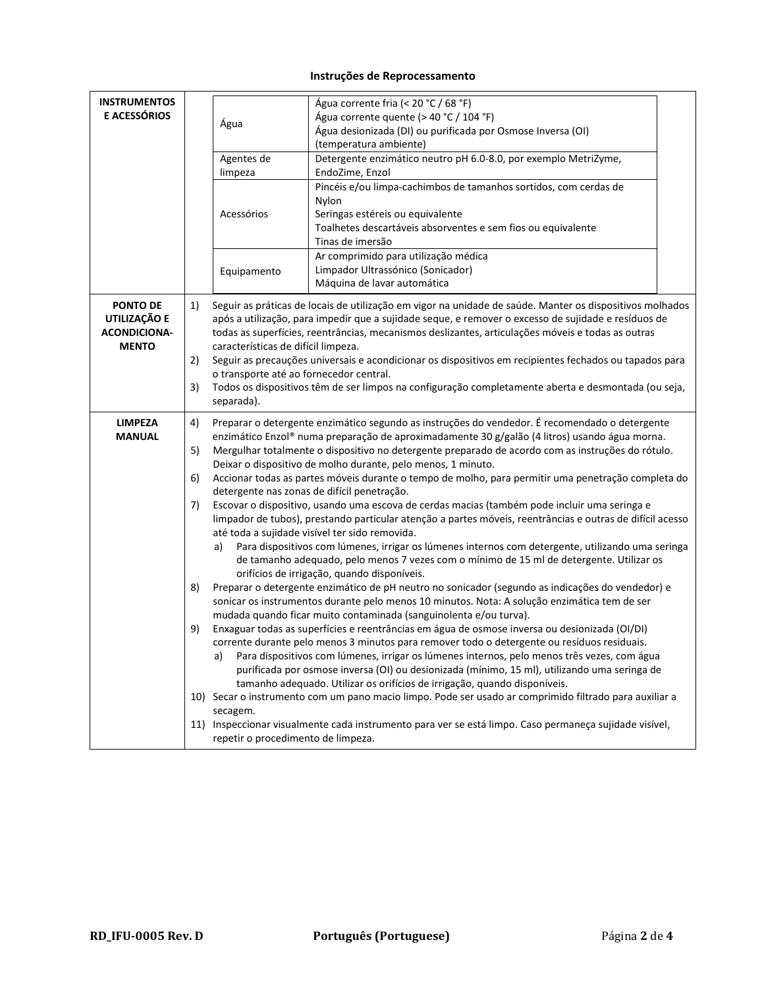## **Instruções de Reprocessamento**

| <b>INSTRUMENTOS</b><br>E ACESSÓRIOS                                    | Água<br>Agentes de<br>limpeza<br>Acessórios<br>Equipamento                                     | Água corrente fria (< 20 °C / 68 °F)<br>Água corrente quente (> 40 °C / 104 °F)<br>Água desionizada (DI) ou purificada por Osmose Inversa (OI)<br>(temperatura ambiente)<br>Detergente enzimático neutro pH 6.0-8.0, por exemplo MetriZyme,<br>EndoZime, Enzol<br>Pincéis e/ou limpa-cachimbos de tamanhos sortidos, com cerdas de<br>Nylon<br>Seringas estéreis ou equivalente<br>Toalhetes descartáveis absorventes e sem fios ou equivalente<br>Tinas de imersão<br>Ar comprimido para utilização médica<br>Limpador Ultrassónico (Sonicador)<br>Máquina de lavar automática                                                                                                                                                                                                                                                                                                                                                                                                                                                                                                                                                                                                                                                                                                                                                                                                                                                                                                                                                                                                                                                                                                                                                                                                                                                                                                                                                                                                                                   |
|------------------------------------------------------------------------|------------------------------------------------------------------------------------------------|-------------------------------------------------------------------------------------------------------------------------------------------------------------------------------------------------------------------------------------------------------------------------------------------------------------------------------------------------------------------------------------------------------------------------------------------------------------------------------------------------------------------------------------------------------------------------------------------------------------------------------------------------------------------------------------------------------------------------------------------------------------------------------------------------------------------------------------------------------------------------------------------------------------------------------------------------------------------------------------------------------------------------------------------------------------------------------------------------------------------------------------------------------------------------------------------------------------------------------------------------------------------------------------------------------------------------------------------------------------------------------------------------------------------------------------------------------------------------------------------------------------------------------------------------------------------------------------------------------------------------------------------------------------------------------------------------------------------------------------------------------------------------------------------------------------------------------------------------------------------------------------------------------------------------------------------------------------------------------------------------------------------|
| <b>PONTO DE</b><br>UTILIZAÇÃO E<br><b>ACONDICIONA-</b><br><b>MENTO</b> | 1)<br>características de difícil limpeza.<br>2)<br>3)<br>separada).                            | Seguir as práticas de locais de utilização em vigor na unidade de saúde. Manter os dispositivos molhados<br>após a utilização, para impedir que a sujidade seque, e remover o excesso de sujidade e resíduos de<br>todas as superfícies, reentrâncias, mecanismos deslizantes, articulações móveis e todas as outras<br>Seguir as precauções universais e acondicionar os dispositivos em recipientes fechados ou tapados para<br>o transporte até ao fornecedor central.<br>Todos os dispositivos têm de ser limpos na configuração completamente aberta e desmontada (ou seja,                                                                                                                                                                                                                                                                                                                                                                                                                                                                                                                                                                                                                                                                                                                                                                                                                                                                                                                                                                                                                                                                                                                                                                                                                                                                                                                                                                                                                                  |
| <b>LIMPEZA</b><br><b>MANUAL</b>                                        | 4)<br>5)<br>6)<br>7)<br>a)<br>8)<br>9)<br>a)<br>secagem.<br>repetir o procedimento de limpeza. | Preparar o detergente enzimático segundo as instruções do vendedor. É recomendado o detergente<br>enzimático Enzol® numa preparação de aproximadamente 30 g/galão (4 litros) usando água morna.<br>Mergulhar totalmente o dispositivo no detergente preparado de acordo com as instruções do rótulo.<br>Deixar o dispositivo de molho durante, pelo menos, 1 minuto.<br>Accionar todas as partes móveis durante o tempo de molho, para permitir uma penetração completa do<br>detergente nas zonas de difícil penetração.<br>Escovar o dispositivo, usando uma escova de cerdas macias (também pode incluir uma seringa e<br>limpador de tubos), prestando particular atenção a partes móveis, reentrâncias e outras de difícil acesso<br>até toda a sujidade visível ter sido removida.<br>Para dispositivos com lúmenes, irrigar os lúmenes internos com detergente, utilizando uma seringa<br>de tamanho adequado, pelo menos 7 vezes com o mínimo de 15 ml de detergente. Utilizar os<br>orifícios de irrigação, quando disponíveis.<br>Preparar o detergente enzimático de pH neutro no sonicador (segundo as indicações do vendedor) e<br>sonicar os instrumentos durante pelo menos 10 minutos. Nota: A solução enzimática tem de ser<br>mudada quando ficar muito contaminada (sanguinolenta e/ou turva).<br>Enxaguar todas as superfícies e reentrâncias em água de osmose inversa ou desionizada (OI/DI)<br>corrente durante pelo menos 3 minutos para remover todo o detergente ou resíduos residuais.<br>Para dispositivos com lúmenes, irrigar os lúmenes internos, pelo menos três vezes, com água<br>purificada por osmose inversa (OI) ou desionizada (mínimo, 15 ml), utilizando uma seringa de<br>tamanho adequado. Utilizar os orifícios de irrigação, quando disponíveis.<br>10) Secar o instrumento com um pano macio limpo. Pode ser usado ar comprimido filtrado para auxiliar a<br>11) Inspeccionar visualmente cada instrumento para ver se está limpo. Caso permaneça sujidade visível, |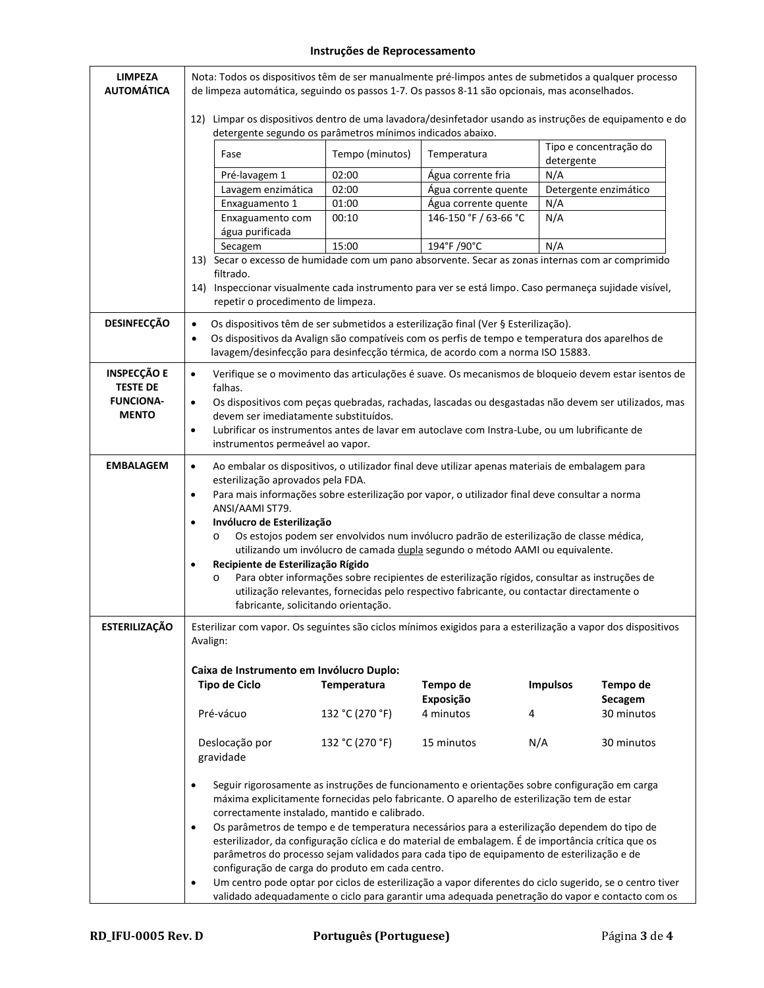## **Instruções de Reprocessamento**

| <b>LIMPEZA</b><br><b>AUTOMÁTICA</b>   | Nota: Todos os dispositivos têm de ser manualmente pré-limpos antes de submetidos a qualquer processo<br>de limpeza automática, seguindo os passos 1-7. Os passos 8-11 são opcionais, mas aconselhados. |                 |                                                                                                                                                                      |                                                                                                                                                                                                             |  |  |
|---------------------------------------|---------------------------------------------------------------------------------------------------------------------------------------------------------------------------------------------------------|-----------------|----------------------------------------------------------------------------------------------------------------------------------------------------------------------|-------------------------------------------------------------------------------------------------------------------------------------------------------------------------------------------------------------|--|--|
|                                       | detergente segundo os parâmetros mínimos indicados abaixo.                                                                                                                                              |                 |                                                                                                                                                                      | 12) Limpar os dispositivos dentro de uma lavadora/desinfetador usando as instruções de equipamento e do                                                                                                     |  |  |
|                                       | Fase                                                                                                                                                                                                    | Tempo (minutos) | Temperatura                                                                                                                                                          | Tipo e concentração do<br>detergente                                                                                                                                                                        |  |  |
|                                       | Pré-lavagem 1                                                                                                                                                                                           | 02:00           | Água corrente fria                                                                                                                                                   | N/A                                                                                                                                                                                                         |  |  |
|                                       | Lavagem enzimática                                                                                                                                                                                      | 02:00           | Água corrente quente                                                                                                                                                 | Detergente enzimático                                                                                                                                                                                       |  |  |
|                                       | Enxaguamento 1                                                                                                                                                                                          | 01:00           | Água corrente quente                                                                                                                                                 | N/A                                                                                                                                                                                                         |  |  |
|                                       | Enxaguamento com<br>água purificada                                                                                                                                                                     | 00:10           | 146-150 °F / 63-66 °C                                                                                                                                                | N/A                                                                                                                                                                                                         |  |  |
|                                       | Secagem                                                                                                                                                                                                 | 15:00           | 194°F /90°C                                                                                                                                                          | N/A                                                                                                                                                                                                         |  |  |
|                                       |                                                                                                                                                                                                         |                 |                                                                                                                                                                      | 13) Secar o excesso de humidade com um pano absorvente. Secar as zonas internas com ar comprimido                                                                                                           |  |  |
|                                       | filtrado.                                                                                                                                                                                               |                 |                                                                                                                                                                      |                                                                                                                                                                                                             |  |  |
|                                       | repetir o procedimento de limpeza.                                                                                                                                                                      |                 |                                                                                                                                                                      | 14) Inspeccionar visualmente cada instrumento para ver se está limpo. Caso permaneça sujidade visível,                                                                                                      |  |  |
| <b>DESINFECÇÃO</b>                    | $\bullet$<br>$\bullet$                                                                                                                                                                                  |                 | Os dispositivos têm de ser submetidos a esterilização final (Ver § Esterilização).<br>lavagem/desinfecção para desinfecção térmica, de acordo com a norma ISO 15883. | Os dispositivos da Avalign são compatíveis com os perfis de tempo e temperatura dos aparelhos de                                                                                                            |  |  |
| <b>INSPECÇÃO E</b><br><b>TESTE DE</b> | $\bullet$<br>falhas.                                                                                                                                                                                    |                 |                                                                                                                                                                      | Verifique se o movimento das articulações é suave. Os mecanismos de bloqueio devem estar isentos de                                                                                                         |  |  |
| <b>FUNCIONA-</b><br><b>MENTO</b>      | $\bullet$<br>devem ser imediatamente substituídos.                                                                                                                                                      |                 |                                                                                                                                                                      | Os dispositivos com peças quebradas, rachadas, lascadas ou desgastadas não devem ser utilizados, mas                                                                                                        |  |  |
|                                       | $\bullet$<br>instrumentos permeável ao vapor.                                                                                                                                                           |                 | Lubrificar os instrumentos antes de lavar em autoclave com Instra-Lube, ou um lubrificante de                                                                        |                                                                                                                                                                                                             |  |  |
| <b>EMBALAGEM</b>                      | $\bullet$<br>esterilização aprovados pela FDA.                                                                                                                                                          |                 | Ao embalar os dispositivos, o utilizador final deve utilizar apenas materiais de embalagem para                                                                      |                                                                                                                                                                                                             |  |  |
|                                       | $\bullet$<br>ANSI/AAMI ST79.                                                                                                                                                                            |                 | Para mais informações sobre esterilização por vapor, o utilizador final deve consultar a norma                                                                       |                                                                                                                                                                                                             |  |  |
|                                       | Invólucro de Esterilização<br>$\bullet$                                                                                                                                                                 |                 |                                                                                                                                                                      |                                                                                                                                                                                                             |  |  |
|                                       | Os estojos podem ser envolvidos num invólucro padrão de esterilização de classe médica,<br>$\circ$<br>utilizando um invólucro de camada dupla segundo o método AAMI ou equivalente.                     |                 |                                                                                                                                                                      |                                                                                                                                                                                                             |  |  |
|                                       | Recipiente de Esterilização Rígido<br>$\bullet$<br>Para obter informações sobre recipientes de esterilização rígidos, consultar as instruções de<br>$\circ$                                             |                 |                                                                                                                                                                      |                                                                                                                                                                                                             |  |  |
|                                       | utilização relevantes, fornecidas pelo respectivo fabricante, ou contactar directamente o<br>fabricante, solicitando orientação.                                                                        |                 |                                                                                                                                                                      |                                                                                                                                                                                                             |  |  |
| <b>ESTERILIZAÇÃO</b>                  | Avalign:                                                                                                                                                                                                |                 |                                                                                                                                                                      | Esterilizar com vapor. Os seguintes são ciclos mínimos exigidos para a esterilização a vapor dos dispositivos                                                                                               |  |  |
|                                       |                                                                                                                                                                                                         |                 |                                                                                                                                                                      |                                                                                                                                                                                                             |  |  |
|                                       | Caixa de Instrumento em Invólucro Duplo:                                                                                                                                                                |                 |                                                                                                                                                                      | <b>Impulsos</b>                                                                                                                                                                                             |  |  |
|                                       | <b>Tipo de Ciclo</b>                                                                                                                                                                                    | Temperatura     | Tempo de<br>Exposição                                                                                                                                                | Tempo de<br>Secagem                                                                                                                                                                                         |  |  |
|                                       | Pré-vácuo                                                                                                                                                                                               | 132 °C (270 °F) | 4 minutos<br>4                                                                                                                                                       | 30 minutos                                                                                                                                                                                                  |  |  |
|                                       | Deslocação por<br>gravidade                                                                                                                                                                             | 132 °C (270 °F) | 15 minutos                                                                                                                                                           | N/A<br>30 minutos                                                                                                                                                                                           |  |  |
|                                       |                                                                                                                                                                                                         |                 |                                                                                                                                                                      |                                                                                                                                                                                                             |  |  |
|                                       | $\bullet$<br>correctamente instalado, mantido e calibrado.                                                                                                                                              |                 | máxima explicitamente fornecidas pelo fabricante. O aparelho de esterilização tem de estar                                                                           | Seguir rigorosamente as instruções de funcionamento e orientações sobre configuração em carga                                                                                                               |  |  |
|                                       | $\bullet$                                                                                                                                                                                               |                 |                                                                                                                                                                      | Os parâmetros de tempo e de temperatura necessários para a esterilização dependem do tipo de                                                                                                                |  |  |
|                                       |                                                                                                                                                                                                         |                 |                                                                                                                                                                      | esterilizador, da configuração cíclica e do material de embalagem. É de importância crítica que os                                                                                                          |  |  |
|                                       |                                                                                                                                                                                                         |                 | parâmetros do processo sejam validados para cada tipo de equipamento de esterilização e de                                                                           |                                                                                                                                                                                                             |  |  |
|                                       | configuração de carga do produto em cada centro.                                                                                                                                                        |                 |                                                                                                                                                                      |                                                                                                                                                                                                             |  |  |
|                                       | $\bullet$                                                                                                                                                                                               |                 |                                                                                                                                                                      | Um centro pode optar por ciclos de esterilização a vapor diferentes do ciclo sugerido, se o centro tiver<br>validado adequadamente o ciclo para garantir uma adequada penetração do vapor e contacto com os |  |  |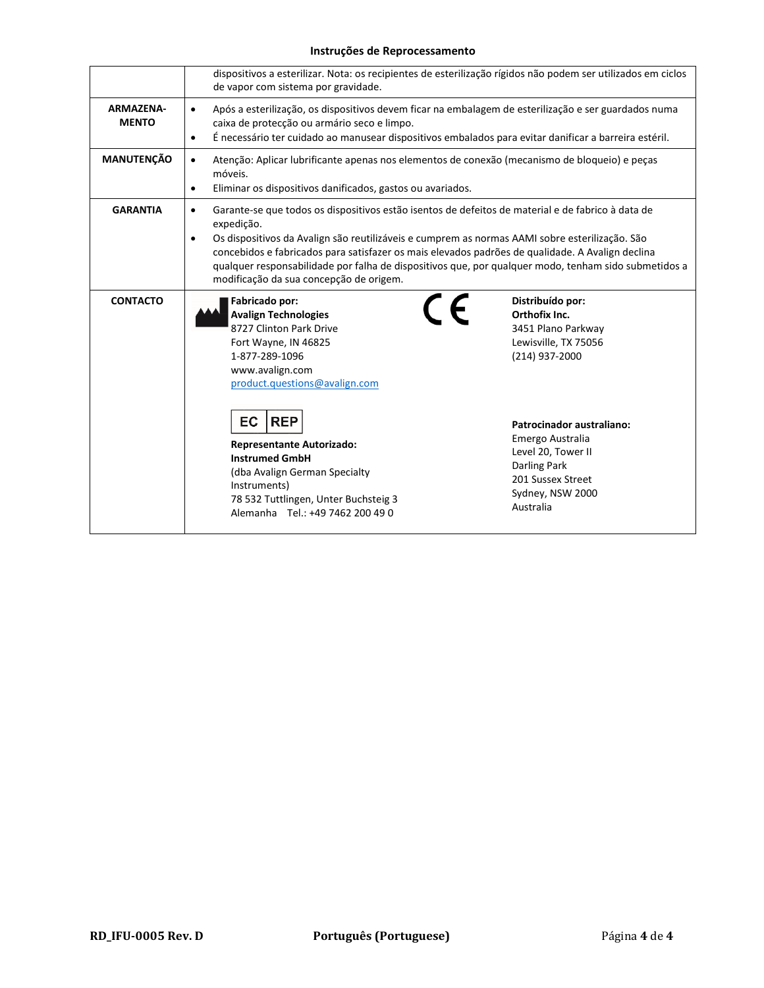## **Instruções de Reprocessamento**

|                                  | de vapor com sistema por gravidade.                                                                                                                                                                                                                                                                                                                                                                                                                                                                | dispositivos a esterilizar. Nota: os recipientes de esterilização rígidos não podem ser utilizados em ciclos                                                                                                                                                 |  |  |
|----------------------------------|----------------------------------------------------------------------------------------------------------------------------------------------------------------------------------------------------------------------------------------------------------------------------------------------------------------------------------------------------------------------------------------------------------------------------------------------------------------------------------------------------|--------------------------------------------------------------------------------------------------------------------------------------------------------------------------------------------------------------------------------------------------------------|--|--|
| <b>ARMAZENA-</b><br><b>MENTO</b> | Após a esterilização, os dispositivos devem ficar na embalagem de esterilização e ser guardados numa<br>$\bullet$<br>caixa de protecção ou armário seco e limpo.<br>É necessário ter cuidado ao manusear dispositivos embalados para evitar danificar a barreira estéril.<br>$\bullet$                                                                                                                                                                                                             |                                                                                                                                                                                                                                                              |  |  |
| <b>MANUTENÇÃO</b>                | Atenção: Aplicar lubrificante apenas nos elementos de conexão (mecanismo de bloqueio) e peças<br>$\bullet$<br>móveis.<br>Eliminar os dispositivos danificados, gastos ou avariados.<br>$\bullet$                                                                                                                                                                                                                                                                                                   |                                                                                                                                                                                                                                                              |  |  |
| <b>GARANTIA</b>                  | Garante-se que todos os dispositivos estão isentos de defeitos de material e de fabrico à data de<br>$\bullet$<br>expedição.<br>Os dispositivos da Avalign são reutilizáveis e cumprem as normas AAMI sobre esterilização. São<br>$\bullet$<br>concebidos e fabricados para satisfazer os mais elevados padrões de qualidade. A Avalign declina<br>qualquer responsabilidade por falha de dispositivos que, por qualquer modo, tenham sido submetidos a<br>modificação da sua concepção de origem. |                                                                                                                                                                                                                                                              |  |  |
| <b>CONTACTO</b>                  | Fabricado por:<br><b>Avalign Technologies</b><br>8727 Clinton Park Drive<br>Fort Wayne, IN 46825<br>1-877-289-1096<br>www.avalign.com<br>product.questions@avalign.com<br><b>EC</b><br><b>REP</b><br><b>Representante Autorizado:</b><br><b>Instrumed GmbH</b><br>(dba Avalign German Specialty<br>Instruments)<br>78 532 Tuttlingen, Unter Buchsteig 3<br>Alemanha Tel.: +49 7462 200 49 0                                                                                                        | Distribuído por:<br>$\epsilon$<br>Orthofix Inc.<br>3451 Plano Parkway<br>Lewisville, TX 75056<br>(214) 937-2000<br>Patrocinador australiano:<br>Emergo Australia<br>Level 20, Tower II<br>Darling Park<br>201 Sussex Street<br>Sydney, NSW 2000<br>Australia |  |  |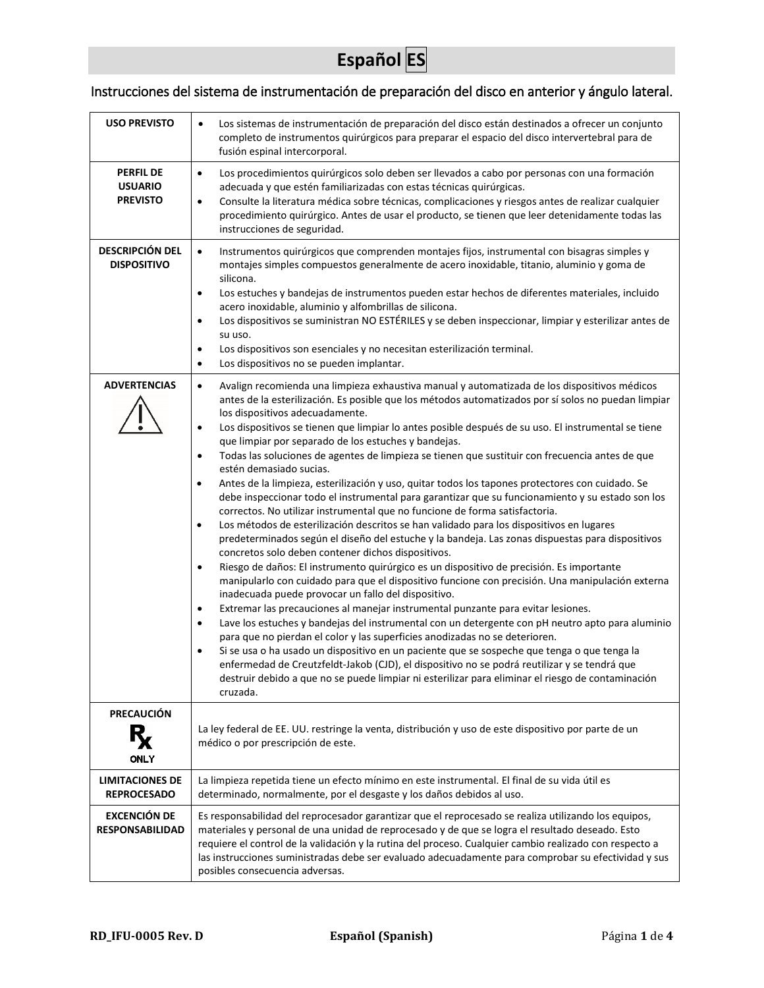## **Español ES**

## <span id="page-20-0"></span>Instrucciones del sistema de instrumentación de preparación del disco en anterior y ángulo lateral.

| <b>USO PREVISTO</b>                                   | Los sistemas de instrumentación de preparación del disco están destinados a ofrecer un conjunto<br>$\bullet$<br>completo de instrumentos quirúrgicos para preparar el espacio del disco intervertebral para de<br>fusión espinal intercorporal.                                                                                                                                                                                                                                                                                                                                                                                                                                                                                                                                                                                                                                                                                                                                                                                                                                                                                                                                                                                                                                                                                                                                                                                                                                                                                                                                                                                                                                                                                                                                                                                                                                                                                                                                                                                        |
|-------------------------------------------------------|----------------------------------------------------------------------------------------------------------------------------------------------------------------------------------------------------------------------------------------------------------------------------------------------------------------------------------------------------------------------------------------------------------------------------------------------------------------------------------------------------------------------------------------------------------------------------------------------------------------------------------------------------------------------------------------------------------------------------------------------------------------------------------------------------------------------------------------------------------------------------------------------------------------------------------------------------------------------------------------------------------------------------------------------------------------------------------------------------------------------------------------------------------------------------------------------------------------------------------------------------------------------------------------------------------------------------------------------------------------------------------------------------------------------------------------------------------------------------------------------------------------------------------------------------------------------------------------------------------------------------------------------------------------------------------------------------------------------------------------------------------------------------------------------------------------------------------------------------------------------------------------------------------------------------------------------------------------------------------------------------------------------------------------|
| <b>PERFIL DE</b><br><b>USUARIO</b><br><b>PREVISTO</b> | Los procedimientos quirúrgicos solo deben ser llevados a cabo por personas con una formación<br>$\bullet$<br>adecuada y que estén familiarizadas con estas técnicas quirúrgicas.<br>Consulte la literatura médica sobre técnicas, complicaciones y riesgos antes de realizar cualquier<br>$\bullet$<br>procedimiento quirúrgico. Antes de usar el producto, se tienen que leer detenidamente todas las<br>instrucciones de seguridad.                                                                                                                                                                                                                                                                                                                                                                                                                                                                                                                                                                                                                                                                                                                                                                                                                                                                                                                                                                                                                                                                                                                                                                                                                                                                                                                                                                                                                                                                                                                                                                                                  |
| <b>DESCRIPCIÓN DEL</b><br><b>DISPOSITIVO</b>          | Instrumentos quirúrgicos que comprenden montajes fijos, instrumental con bisagras simples y<br>$\bullet$<br>montajes simples compuestos generalmente de acero inoxidable, titanio, aluminio y goma de<br>silicona.<br>Los estuches y bandejas de instrumentos pueden estar hechos de diferentes materiales, incluido<br>$\bullet$<br>acero inoxidable, aluminio y alfombrillas de silicona.<br>Los dispositivos se suministran NO ESTÉRILES y se deben inspeccionar, limpiar y esterilizar antes de<br>$\bullet$<br>su uso.<br>Los dispositivos son esenciales y no necesitan esterilización terminal.<br>$\bullet$<br>Los dispositivos no se pueden implantar.<br>$\bullet$                                                                                                                                                                                                                                                                                                                                                                                                                                                                                                                                                                                                                                                                                                                                                                                                                                                                                                                                                                                                                                                                                                                                                                                                                                                                                                                                                           |
| <b>ADVERTENCIAS</b>                                   | Avalign recomienda una limpieza exhaustiva manual y automatizada de los dispositivos médicos<br>$\bullet$<br>antes de la esterilización. Es posible que los métodos automatizados por sí solos no puedan limpiar<br>los dispositivos adecuadamente.<br>Los dispositivos se tienen que limpiar lo antes posible después de su uso. El instrumental se tiene<br>$\bullet$<br>que limpiar por separado de los estuches y bandejas.<br>Todas las soluciones de agentes de limpieza se tienen que sustituir con frecuencia antes de que<br>$\bullet$<br>estén demasiado sucias.<br>Antes de la limpieza, esterilización y uso, quitar todos los tapones protectores con cuidado. Se<br>$\bullet$<br>debe inspeccionar todo el instrumental para garantizar que su funcionamiento y su estado son los<br>correctos. No utilizar instrumental que no funcione de forma satisfactoria.<br>Los métodos de esterilización descritos se han validado para los dispositivos en lugares<br>$\bullet$<br>predeterminados según el diseño del estuche y la bandeja. Las zonas dispuestas para dispositivos<br>concretos solo deben contener dichos dispositivos.<br>Riesgo de daños: El instrumento quirúrgico es un dispositivo de precisión. Es importante<br>$\bullet$<br>manipularlo con cuidado para que el dispositivo funcione con precisión. Una manipulación externa<br>inadecuada puede provocar un fallo del dispositivo.<br>Extremar las precauciones al manejar instrumental punzante para evitar lesiones.<br>$\bullet$<br>Lave los estuches y bandejas del instrumental con un detergente con pH neutro apto para aluminio<br>$\bullet$<br>para que no pierdan el color y las superficies anodizadas no se deterioren.<br>Si se usa o ha usado un dispositivo en un paciente que se sospeche que tenga o que tenga la<br>enfermedad de Creutzfeldt-Jakob (CJD), el dispositivo no se podrá reutilizar y se tendrá que<br>destruir debido a que no se puede limpiar ni esterilizar para eliminar el riesgo de contaminación<br>cruzada. |
| <b>PRECAUCIÓN</b><br>ONLY                             | La ley federal de EE. UU. restringe la venta, distribución y uso de este dispositivo por parte de un<br>médico o por prescripción de este.                                                                                                                                                                                                                                                                                                                                                                                                                                                                                                                                                                                                                                                                                                                                                                                                                                                                                                                                                                                                                                                                                                                                                                                                                                                                                                                                                                                                                                                                                                                                                                                                                                                                                                                                                                                                                                                                                             |
| <b>LIMITACIONES DE</b><br><b>REPROCESADO</b>          | La limpieza repetida tiene un efecto mínimo en este instrumental. El final de su vida útil es<br>determinado, normalmente, por el desgaste y los daños debidos al uso.                                                                                                                                                                                                                                                                                                                                                                                                                                                                                                                                                                                                                                                                                                                                                                                                                                                                                                                                                                                                                                                                                                                                                                                                                                                                                                                                                                                                                                                                                                                                                                                                                                                                                                                                                                                                                                                                 |
| <b>EXCENCIÓN DE</b><br><b>RESPONSABILIDAD</b>         | Es responsabilidad del reprocesador garantizar que el reprocesado se realiza utilizando los equipos,<br>materiales y personal de una unidad de reprocesado y de que se logra el resultado deseado. Esto<br>requiere el control de la validación y la rutina del proceso. Cualquier cambio realizado con respecto a<br>las instrucciones suministradas debe ser evaluado adecuadamente para comprobar su efectividad y sus<br>posibles consecuencia adversas.                                                                                                                                                                                                                                                                                                                                                                                                                                                                                                                                                                                                                                                                                                                                                                                                                                                                                                                                                                                                                                                                                                                                                                                                                                                                                                                                                                                                                                                                                                                                                                           |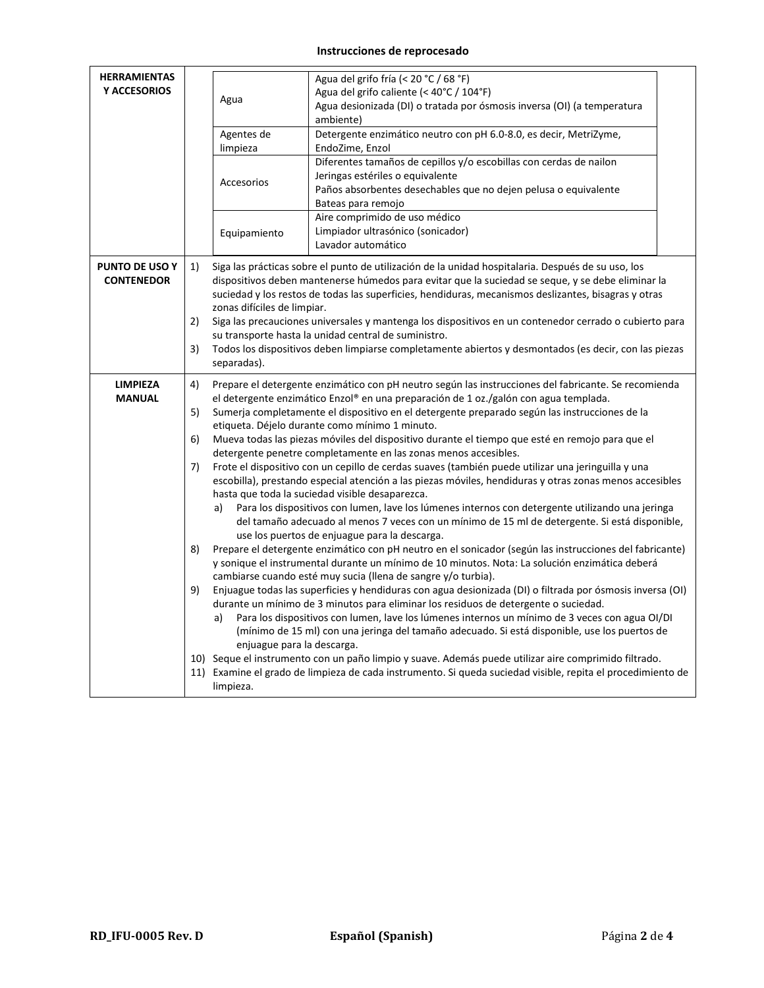## **Instrucciones de reprocesado**

| <b>HERRAMIENTAS</b><br><b>Y ACCESORIOS</b> |                                  | Agua<br>Agentes de<br>limpieza<br>Accesorios<br>Equipamiento                                                         | Agua del grifo fría (< 20 °C / 68 °F)<br>Agua del grifo caliente (< 40°C / 104°F)<br>Agua desionizada (DI) o tratada por ósmosis inversa (OI) (a temperatura<br>ambiente)<br>Detergente enzimático neutro con pH 6.0-8.0, es decir, MetriZyme,<br>EndoZime, Enzol<br>Diferentes tamaños de cepillos y/o escobillas con cerdas de nailon<br>Jeringas estériles o equivalente<br>Paños absorbentes desechables que no dejen pelusa o equivalente<br>Bateas para remojo<br>Aire comprimido de uso médico<br>Limpiador ultrasónico (sonicador)                                                                                                                                                                                                                                                                                                                                                                                                                                                                                                                                                                                                                                                                                                                                                                                                                                                                                                                                                                                                                                                                                                                                                                                                                                                                                                                                                                                                                   |  |  |  |
|--------------------------------------------|----------------------------------|----------------------------------------------------------------------------------------------------------------------|--------------------------------------------------------------------------------------------------------------------------------------------------------------------------------------------------------------------------------------------------------------------------------------------------------------------------------------------------------------------------------------------------------------------------------------------------------------------------------------------------------------------------------------------------------------------------------------------------------------------------------------------------------------------------------------------------------------------------------------------------------------------------------------------------------------------------------------------------------------------------------------------------------------------------------------------------------------------------------------------------------------------------------------------------------------------------------------------------------------------------------------------------------------------------------------------------------------------------------------------------------------------------------------------------------------------------------------------------------------------------------------------------------------------------------------------------------------------------------------------------------------------------------------------------------------------------------------------------------------------------------------------------------------------------------------------------------------------------------------------------------------------------------------------------------------------------------------------------------------------------------------------------------------------------------------------------------------|--|--|--|
| PUNTO DE USO Y<br><b>CONTENEDOR</b>        | 1)<br>2)                         | zonas difíciles de limpiar.                                                                                          | Lavador automático<br>Siga las prácticas sobre el punto de utilización de la unidad hospitalaria. Después de su uso, los<br>dispositivos deben mantenerse húmedos para evitar que la suciedad se seque, y se debe eliminar la<br>suciedad y los restos de todas las superficies, hendiduras, mecanismos deslizantes, bisagras y otras<br>Siga las precauciones universales y mantenga los dispositivos en un contenedor cerrado o cubierto para<br>su transporte hasta la unidad central de suministro.                                                                                                                                                                                                                                                                                                                                                                                                                                                                                                                                                                                                                                                                                                                                                                                                                                                                                                                                                                                                                                                                                                                                                                                                                                                                                                                                                                                                                                                      |  |  |  |
|                                            | 3)                               | Todos los dispositivos deben limpiarse completamente abiertos y desmontados (es decir, con las piezas<br>separadas). |                                                                                                                                                                                                                                                                                                                                                                                                                                                                                                                                                                                                                                                                                                                                                                                                                                                                                                                                                                                                                                                                                                                                                                                                                                                                                                                                                                                                                                                                                                                                                                                                                                                                                                                                                                                                                                                                                                                                                              |  |  |  |
| <b>LIMPIEZA</b><br><b>MANUAL</b>           | 4)<br>5)<br>6)<br>7)<br>8)<br>9) | a)<br>a)<br>enjuague para la descarga.<br>limpieza.                                                                  | Prepare el detergente enzimático con pH neutro según las instrucciones del fabricante. Se recomienda<br>el detergente enzimático Enzol® en una preparación de 1 oz./galón con agua templada.<br>Sumerja completamente el dispositivo en el detergente preparado según las instrucciones de la<br>etiqueta. Déjelo durante como mínimo 1 minuto.<br>Mueva todas las piezas móviles del dispositivo durante el tiempo que esté en remojo para que el<br>detergente penetre completamente en las zonas menos accesibles.<br>Frote el dispositivo con un cepillo de cerdas suaves (también puede utilizar una jeringuilla y una<br>escobilla), prestando especial atención a las piezas móviles, hendiduras y otras zonas menos accesibles<br>hasta que toda la suciedad visible desaparezca.<br>Para los dispositivos con lumen, lave los lúmenes internos con detergente utilizando una jeringa<br>del tamaño adecuado al menos 7 veces con un mínimo de 15 ml de detergente. Si está disponible,<br>use los puertos de enjuague para la descarga.<br>Prepare el detergente enzimático con pH neutro en el sonicador (según las instrucciones del fabricante)<br>y sonique el instrumental durante un mínimo de 10 minutos. Nota: La solución enzimática deberá<br>cambiarse cuando esté muy sucia (llena de sangre y/o turbia).<br>Enjuague todas las superficies y hendiduras con agua desionizada (DI) o filtrada por ósmosis inversa (OI)<br>durante un mínimo de 3 minutos para eliminar los residuos de detergente o suciedad.<br>Para los dispositivos con lumen, lave los lúmenes internos un mínimo de 3 veces con agua OI/DI<br>(mínimo de 15 ml) con una jeringa del tamaño adecuado. Si está disponible, use los puertos de<br>10) Seque el instrumento con un paño limpio y suave. Además puede utilizar aire comprimido filtrado.<br>11) Examine el grado de limpieza de cada instrumento. Si queda suciedad visible, repita el procedimiento de |  |  |  |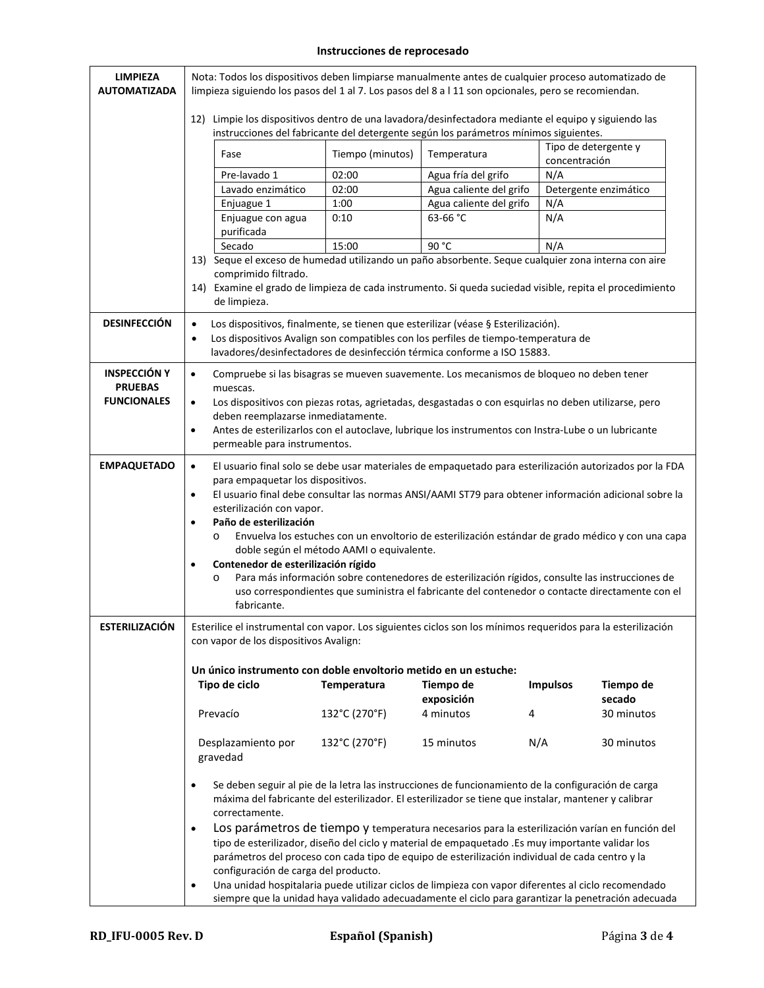## **Instrucciones de reprocesado**

| <b>LIMPIEZA</b><br><b>AUTOMATIZADA</b>                      |                                                                                                                                                                                                                                                                                                                                                                                                                                                                                                                                                                                                                                                                                                                                                                                                                                    | Nota: Todos los dispositivos deben limpiarse manualmente antes de cualquier proceso automatizado de<br>limpieza siguiendo los pasos del 1 al 7. Los pasos del 8 a l 11 son opcionales, pero se recomiendan.                                                                                                                                                                                                                                                                                                                                                                                                                                                                                                                                       |                  |                                                                                                                                                                                                                                                                                                         |                 |                       |  |
|-------------------------------------------------------------|------------------------------------------------------------------------------------------------------------------------------------------------------------------------------------------------------------------------------------------------------------------------------------------------------------------------------------------------------------------------------------------------------------------------------------------------------------------------------------------------------------------------------------------------------------------------------------------------------------------------------------------------------------------------------------------------------------------------------------------------------------------------------------------------------------------------------------|---------------------------------------------------------------------------------------------------------------------------------------------------------------------------------------------------------------------------------------------------------------------------------------------------------------------------------------------------------------------------------------------------------------------------------------------------------------------------------------------------------------------------------------------------------------------------------------------------------------------------------------------------------------------------------------------------------------------------------------------------|------------------|---------------------------------------------------------------------------------------------------------------------------------------------------------------------------------------------------------------------------------------------------------------------------------------------------------|-----------------|-----------------------|--|
|                                                             |                                                                                                                                                                                                                                                                                                                                                                                                                                                                                                                                                                                                                                                                                                                                                                                                                                    |                                                                                                                                                                                                                                                                                                                                                                                                                                                                                                                                                                                                                                                                                                                                                   |                  | 12) Limpie los dispositivos dentro de una lavadora/desinfectadora mediante el equipo y siguiendo las<br>instrucciones del fabricante del detergente según los parámetros mínimos siguientes.                                                                                                            |                 |                       |  |
|                                                             |                                                                                                                                                                                                                                                                                                                                                                                                                                                                                                                                                                                                                                                                                                                                                                                                                                    | Fase                                                                                                                                                                                                                                                                                                                                                                                                                                                                                                                                                                                                                                                                                                                                              | Tiempo (minutos) | Temperatura                                                                                                                                                                                                                                                                                             | concentración   | Tipo de detergente y  |  |
|                                                             |                                                                                                                                                                                                                                                                                                                                                                                                                                                                                                                                                                                                                                                                                                                                                                                                                                    | Pre-lavado 1                                                                                                                                                                                                                                                                                                                                                                                                                                                                                                                                                                                                                                                                                                                                      | 02:00            | Agua fría del grifo                                                                                                                                                                                                                                                                                     | N/A             |                       |  |
|                                                             |                                                                                                                                                                                                                                                                                                                                                                                                                                                                                                                                                                                                                                                                                                                                                                                                                                    | Lavado enzimático                                                                                                                                                                                                                                                                                                                                                                                                                                                                                                                                                                                                                                                                                                                                 | 02:00            | Agua caliente del grifo                                                                                                                                                                                                                                                                                 |                 | Detergente enzimático |  |
|                                                             |                                                                                                                                                                                                                                                                                                                                                                                                                                                                                                                                                                                                                                                                                                                                                                                                                                    | Enjuague 1                                                                                                                                                                                                                                                                                                                                                                                                                                                                                                                                                                                                                                                                                                                                        | 1:00             | Agua caliente del grifo                                                                                                                                                                                                                                                                                 | N/A             |                       |  |
|                                                             |                                                                                                                                                                                                                                                                                                                                                                                                                                                                                                                                                                                                                                                                                                                                                                                                                                    | Enjuague con agua<br>purificada                                                                                                                                                                                                                                                                                                                                                                                                                                                                                                                                                                                                                                                                                                                   | 0:10             | 63-66 °C                                                                                                                                                                                                                                                                                                | N/A             |                       |  |
|                                                             |                                                                                                                                                                                                                                                                                                                                                                                                                                                                                                                                                                                                                                                                                                                                                                                                                                    | Secado                                                                                                                                                                                                                                                                                                                                                                                                                                                                                                                                                                                                                                                                                                                                            | 15:00            | 90 °C                                                                                                                                                                                                                                                                                                   | N/A             |                       |  |
|                                                             |                                                                                                                                                                                                                                                                                                                                                                                                                                                                                                                                                                                                                                                                                                                                                                                                                                    | comprimido filtrado.<br>de limpieza.                                                                                                                                                                                                                                                                                                                                                                                                                                                                                                                                                                                                                                                                                                              |                  | 13) Seque el exceso de humedad utilizando un paño absorbente. Seque cualquier zona interna con aire<br>14) Examine el grado de limpieza de cada instrumento. Si queda suciedad visible, repita el procedimiento                                                                                         |                 |                       |  |
| <b>DESINFECCIÓN</b>                                         | $\bullet$<br>$\bullet$                                                                                                                                                                                                                                                                                                                                                                                                                                                                                                                                                                                                                                                                                                                                                                                                             |                                                                                                                                                                                                                                                                                                                                                                                                                                                                                                                                                                                                                                                                                                                                                   |                  | Los dispositivos, finalmente, se tienen que esterilizar (véase § Esterilización).<br>Los dispositivos Avalign son compatibles con los perfiles de tiempo-temperatura de<br>lavadores/desinfectadores de desinfección térmica conforme a ISO 15883.                                                      |                 |                       |  |
| <b>INSPECCIÓN Y</b><br><b>PRUEBAS</b><br><b>FUNCIONALES</b> | $\bullet$<br>$\bullet$<br>$\bullet$                                                                                                                                                                                                                                                                                                                                                                                                                                                                                                                                                                                                                                                                                                                                                                                                | muescas.<br>deben reemplazarse inmediatamente.<br>permeable para instrumentos.                                                                                                                                                                                                                                                                                                                                                                                                                                                                                                                                                                                                                                                                    |                  | Compruebe si las bisagras se mueven suavemente. Los mecanismos de bloqueo no deben tener<br>Los dispositivos con piezas rotas, agrietadas, desgastadas o con esquirlas no deben utilizarse, pero<br>Antes de esterilizarlos con el autoclave, lubrique los instrumentos con Instra-Lube o un lubricante |                 |                       |  |
|                                                             |                                                                                                                                                                                                                                                                                                                                                                                                                                                                                                                                                                                                                                                                                                                                                                                                                                    |                                                                                                                                                                                                                                                                                                                                                                                                                                                                                                                                                                                                                                                                                                                                                   |                  |                                                                                                                                                                                                                                                                                                         |                 |                       |  |
| <b>EMPAQUETADO</b>                                          | $\bullet$<br>$\bullet$<br>$\bullet$<br>$\bullet$                                                                                                                                                                                                                                                                                                                                                                                                                                                                                                                                                                                                                                                                                                                                                                                   | El usuario final solo se debe usar materiales de empaquetado para esterilización autorizados por la FDA<br>para empaquetar los dispositivos.<br>El usuario final debe consultar las normas ANSI/AAMI ST79 para obtener información adicional sobre la<br>esterilización con vapor.<br>Paño de esterilización<br>Envuelva los estuches con un envoltorio de esterilización estándar de grado médico y con una capa<br>$\circ$<br>doble según el método AAMI o equivalente.<br>Contenedor de esterilización rígido<br>Para más información sobre contenedores de esterilización rígidos, consulte las instrucciones de<br>$\circ$<br>uso correspondientes que suministra el fabricante del contenedor o contacte directamente con el<br>fabricante. |                  |                                                                                                                                                                                                                                                                                                         |                 |                       |  |
| ESTERILIZACIÓN                                              |                                                                                                                                                                                                                                                                                                                                                                                                                                                                                                                                                                                                                                                                                                                                                                                                                                    | con vapor de los dispositivos Avalign:                                                                                                                                                                                                                                                                                                                                                                                                                                                                                                                                                                                                                                                                                                            |                  | Esterilice el instrumental con vapor. Los siguientes ciclos son los mínimos requeridos para la esterilización                                                                                                                                                                                           |                 |                       |  |
|                                                             |                                                                                                                                                                                                                                                                                                                                                                                                                                                                                                                                                                                                                                                                                                                                                                                                                                    | Un único instrumento con doble envoltorio metido en un estuche:                                                                                                                                                                                                                                                                                                                                                                                                                                                                                                                                                                                                                                                                                   |                  |                                                                                                                                                                                                                                                                                                         |                 |                       |  |
|                                                             |                                                                                                                                                                                                                                                                                                                                                                                                                                                                                                                                                                                                                                                                                                                                                                                                                                    | Tipo de ciclo                                                                                                                                                                                                                                                                                                                                                                                                                                                                                                                                                                                                                                                                                                                                     | Temperatura      | Tiempo de                                                                                                                                                                                                                                                                                               | <b>Impulsos</b> | Tiempo de             |  |
|                                                             |                                                                                                                                                                                                                                                                                                                                                                                                                                                                                                                                                                                                                                                                                                                                                                                                                                    |                                                                                                                                                                                                                                                                                                                                                                                                                                                                                                                                                                                                                                                                                                                                                   |                  | exposición                                                                                                                                                                                                                                                                                              |                 | secado                |  |
|                                                             |                                                                                                                                                                                                                                                                                                                                                                                                                                                                                                                                                                                                                                                                                                                                                                                                                                    | Prevacío                                                                                                                                                                                                                                                                                                                                                                                                                                                                                                                                                                                                                                                                                                                                          | 132°C (270°F)    | 4 minutos<br>4                                                                                                                                                                                                                                                                                          |                 | 30 minutos            |  |
|                                                             |                                                                                                                                                                                                                                                                                                                                                                                                                                                                                                                                                                                                                                                                                                                                                                                                                                    | Desplazamiento por<br>gravedad                                                                                                                                                                                                                                                                                                                                                                                                                                                                                                                                                                                                                                                                                                                    | 132°C (270°F)    | 15 minutos                                                                                                                                                                                                                                                                                              | N/A             | 30 minutos            |  |
|                                                             | Se deben seguir al pie de la letra las instrucciones de funcionamiento de la configuración de carga<br>$\bullet$<br>máxima del fabricante del esterilizador. El esterilizador se tiene que instalar, mantener y calibrar<br>correctamente.<br>Los parámetros de tiempo y temperatura necesarios para la esterilización varían en función del<br>$\bullet$<br>tipo de esterilizador, diseño del ciclo y material de empaquetado .Es muy importante validar los<br>parámetros del proceso con cada tipo de equipo de esterilización individual de cada centro y la<br>configuración de carga del producto.<br>Una unidad hospitalaria puede utilizar ciclos de limpieza con vapor diferentes al ciclo recomendado<br>$\bullet$<br>siempre que la unidad haya validado adecuadamente el ciclo para garantizar la penetración adecuada |                                                                                                                                                                                                                                                                                                                                                                                                                                                                                                                                                                                                                                                                                                                                                   |                  |                                                                                                                                                                                                                                                                                                         |                 |                       |  |